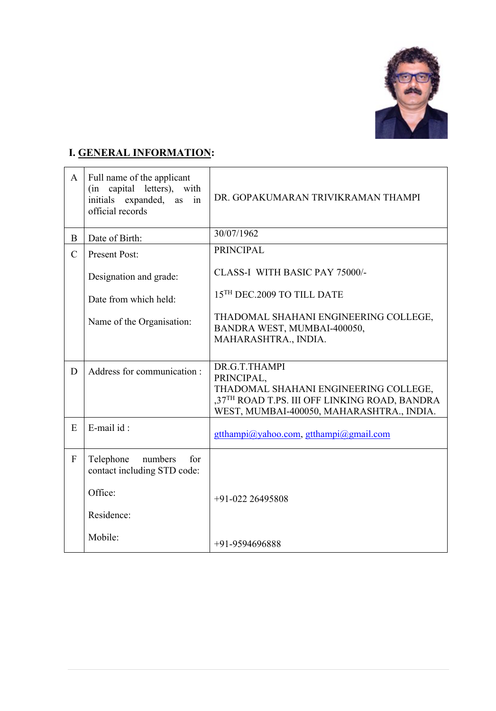

## **I. GENERAL INFORMATION:**

| $\mathbf{A}$  | Full name of the applicant<br>(in capital letters), with<br>initials expanded,<br>as<br>in<br>official records | DR. GOPAKUMARAN TRIVIKRAMAN THAMPI                                                                                                                                 |
|---------------|----------------------------------------------------------------------------------------------------------------|--------------------------------------------------------------------------------------------------------------------------------------------------------------------|
| B             | Date of Birth:                                                                                                 | 30/07/1962                                                                                                                                                         |
| $\mathcal{C}$ | <b>Present Post:</b>                                                                                           | <b>PRINCIPAL</b>                                                                                                                                                   |
|               | Designation and grade:                                                                                         | CLASS-I WITH BASIC PAY 75000/-                                                                                                                                     |
|               | Date from which held:                                                                                          | 15TH DEC.2009 TO TILL DATE                                                                                                                                         |
|               | Name of the Organisation:                                                                                      | THADOMAL SHAHANI ENGINEERING COLLEGE,<br>BANDRA WEST, MUMBAI-400050,<br>MAHARASHTRA., INDIA.                                                                       |
|               |                                                                                                                |                                                                                                                                                                    |
| D             | Address for communication:                                                                                     | DR.G.T.THAMPI<br>PRINCIPAL,<br>THADOMAL SHAHANI ENGINEERING COLLEGE,<br>,37TH ROAD T.PS. III OFF LINKING ROAD, BANDRA<br>WEST, MUMBAI-400050, MAHARASHTRA., INDIA. |
| E             | E-mail id:                                                                                                     | gtthampi@yahoo.com, gtthampi@gmail.com                                                                                                                             |
| $\mathbf{F}$  | Telephone<br>numbers<br>for<br>contact including STD code:                                                     |                                                                                                                                                                    |
|               | Office:                                                                                                        | $+91-022$ 26495808                                                                                                                                                 |
|               | Residence:                                                                                                     |                                                                                                                                                                    |
|               | Mobile:                                                                                                        | $+91-9594696888$                                                                                                                                                   |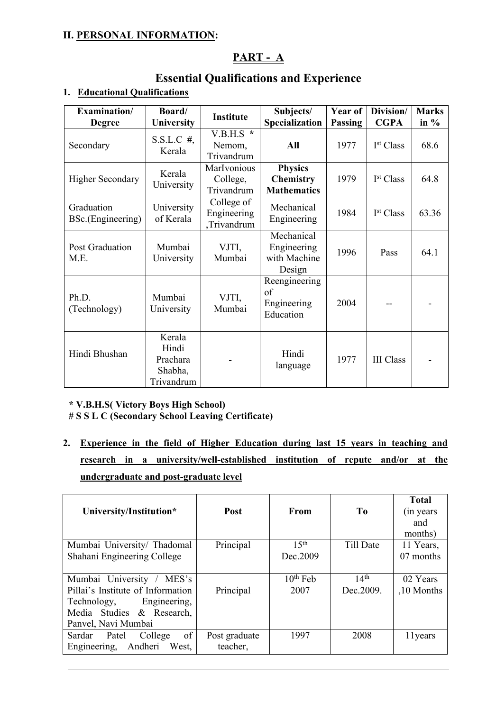## **II. PERSONAL INFORMATION:**

## **PART - A**

## **Essential Qualifications and Experience**

| Examination/<br><b>Degree</b>   | Board/<br><b>University</b>                          | <b>Institute</b>                         | Subjects/<br>Specialization                              | Year of<br>Passing | Division/<br><b>CGPA</b> | <b>Marks</b><br>in $%$ |
|---------------------------------|------------------------------------------------------|------------------------------------------|----------------------------------------------------------|--------------------|--------------------------|------------------------|
| Secondary                       | $S.S.L.C.$ #,<br>Kerala                              | $V.B.H.S$ *<br>Nemom,<br>Trivandrum      | All                                                      | 1977               | I <sup>st</sup> Class    | 68.6                   |
| <b>Higher Secondary</b>         | Kerala<br>University                                 | MarIvonious<br>College,<br>Trivandrum    | <b>Physics</b><br><b>Chemistry</b><br><b>Mathematics</b> | 1979               | I <sup>st</sup> Class    | 64.8                   |
| Graduation<br>BSc.(Engineering) | University<br>of Kerala                              | College of<br>Engineering<br>,Trivandrum | Mechanical<br>Engineering                                | 1984               | I <sup>st</sup> Class    | 63.36                  |
| Post Graduation<br>M.E.         | Mumbai<br>University                                 | VJTI,<br>Mumbai                          | Mechanical<br>Engineering<br>with Machine<br>Design      | 1996               | Pass                     | 64.1                   |
| Ph.D.<br>(Technology)           | Mumbai<br>University                                 | VJTI,<br>Mumbai                          | Reengineering<br>of<br>Engineering<br>Education          | 2004               |                          |                        |
| Hindi Bhushan                   | Kerala<br>Hindi<br>Prachara<br>Shabha,<br>Trivandrum |                                          | Hindi<br>language                                        | 1977               | <b>III</b> Class         |                        |

### **1. Educational Qualifications**

### **\* V.B.H.S( Victory Boys High School)**

**# S S L C (Secondary School Leaving Certificate)**

**2. Experience in the field of Higher Education during last 15 years in teaching and research in a university/well-established institution of repute and/or at the undergraduate and post-graduate level**

| University/Institution*                                                                                           | <b>Post</b>               | From             | T <sub>0</sub>   | <b>Total</b><br>(in years)<br>and<br>months) |
|-------------------------------------------------------------------------------------------------------------------|---------------------------|------------------|------------------|----------------------------------------------|
| Mumbai University/ Thadomal                                                                                       | Principal                 | 15 <sup>th</sup> | Till Date        | 11 Years,                                    |
| Shahani Engineering College                                                                                       |                           | Dec.2009         |                  | 07 months                                    |
| Mumbai University<br>MES's                                                                                        |                           | $10th$ Feb       | 14 <sup>th</sup> | 02 Years                                     |
| Pillai's Institute of Information<br>Technology, Engineering,<br>Media Studies & Research,<br>Panvel, Navi Mumbai | Principal                 | 2007             | Dec. 2009.       | ,10 Months                                   |
| of<br>College<br>Sardar Patel<br>Andheri West,<br>Engineering,                                                    | Post graduate<br>teacher, | 1997             | 2008             | 11 years                                     |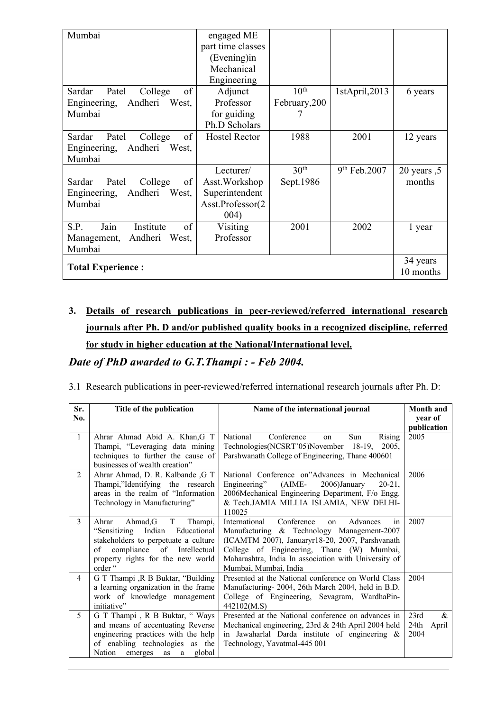| Mumbai                           | engaged ME           |                  |                          |                  |
|----------------------------------|----------------------|------------------|--------------------------|------------------|
|                                  | part time classes    |                  |                          |                  |
|                                  | (Evening)in          |                  |                          |                  |
|                                  | Mechanical           |                  |                          |                  |
|                                  | Engineering          |                  |                          |                  |
| of<br>Sardar<br>College<br>Patel | Adjunct              | 10 <sup>th</sup> | 1stApril,2013            | 6 years          |
| Engineering,<br>Andheri<br>West, | Professor            | February, 200    |                          |                  |
| Mumbai                           | for guiding          |                  |                          |                  |
|                                  | Ph.D Scholars        |                  |                          |                  |
| of<br>Patel<br>College<br>Sardar | <b>Hostel Rector</b> | 1988             | 2001                     | 12 years         |
| Andheri<br>Engineering,<br>West, |                      |                  |                          |                  |
| Mumbai                           |                      |                  |                          |                  |
|                                  | Lecturer/            | 30 <sup>th</sup> | 9 <sup>th</sup> Feb.2007 | $20$ years $, 5$ |
| College<br>of<br>Sardar<br>Patel | Asst. Workshop       | Sept.1986        |                          | months           |
| Andheri<br>Engineering,<br>West, | Superintendent       |                  |                          |                  |
| Mumbai                           | Asst.Professor(2     |                  |                          |                  |
|                                  | 004)                 |                  |                          |                  |
| Jain<br>of<br>S.P.<br>Institute  | Visiting             | 2001             | 2002                     | 1 year           |
| Andheri<br>West,<br>Management,  | Professor            |                  |                          |                  |
| Mumbai                           |                      |                  |                          |                  |
|                                  |                      |                  |                          |                  |
| <b>Total Experience:</b>         |                      |                  |                          | 34 years         |
|                                  |                      |                  |                          | 10 months        |

# **3. Details of research publications in peer-reviewed/referred international research journals after Ph. D and/or published quality books in a recognized discipline, referred for study in higher education at the National/International level.**

*Date of PhD awarded to G.T.Thampi : - Feb 2004.*

#### 3.1 Research publications in peer-reviewed/referred international research journals after Ph. D:

| Sr.            | Title of the publication                                             | Name of the international journal                                        | Month and              |
|----------------|----------------------------------------------------------------------|--------------------------------------------------------------------------|------------------------|
| No.            |                                                                      |                                                                          | vear of<br>publication |
| 1              | Ahrar Ahmad Abid A. Khan, G T                                        | Conference<br>National<br>Sun<br><b>Rising</b><br>on                     | 2005                   |
|                | Thampi, "Leveraging data mining                                      | Technologies (NCSRT'05) November 18-19, 2005,                            |                        |
|                | techniques to further the cause of<br>businesses of wealth creation" | Parshwanath College of Engineering, Thane 400601                         |                        |
| $\overline{2}$ | Ahrar Ahmad, D. R. Kalbande , G T                                    | National Conference on"Advances in Mechanical                            | 2006                   |
|                | Thampi,"Identifying the research                                     | Engineering"<br>(AIME-<br>2006)January<br>$20 - 21$ .                    |                        |
|                | areas in the realm of "Information                                   | 2006Mechanical Engineering Department, F/o Engg.                         |                        |
|                | Technology in Manufacturing"                                         | & Tech.JAMIA MILLIA ISLAMIA, NEW DELHI-                                  |                        |
| 3              | T -<br>Ahmad,G<br>Ahrar<br>Thampi,                                   | 110025<br>in<br>International<br>Conference<br>Advances<br><sub>on</sub> | 2007                   |
|                | "Sensitizing Indian<br>Educational                                   | Manufacturing & Technology Management-2007                               |                        |
|                | stakeholders to perpetuate a culture                                 | (ICAMTM 2007), Januaryr18-20, 2007, Parshvanath                          |                        |
|                | compliance of Intellectual<br>of                                     | College of Engineering, Thane (W) Mumbai,                                |                        |
|                | property rights for the new world                                    | Maharashtra, India In association with University of                     |                        |
|                | order "                                                              | Mumbai, Mumbai, India                                                    |                        |
| $\overline{4}$ | G T Thampi , R B Buktar, "Building                                   | Presented at the National conference on World Class                      | 2004                   |
|                | a learning organization in the frame                                 | Manufacturing-2004, 26th March 2004, held in B.D.                        |                        |
|                | work of knowledge management                                         | College of Engineering, Sevagram, WardhaPin-                             |                        |
|                | initiative"                                                          | 442102(M.S)                                                              |                        |
| 5              | G T Thampi, R B Buktar, " Ways                                       | Presented at the National conference on advances in                      | 23rd<br>$\&$           |
|                | and means of accentuating Reverse                                    | Mechanical engineering, 23rd & 24th April 2004 held                      | 24th<br>April          |
|                | engineering practices with the help                                  | in Jawaharlal Darda institute of engineering &                           | 2004                   |
|                | of enabling technologies as the                                      | Technology, Yavatmal-445 001                                             |                        |
|                | Nation emerges<br>global<br>as<br>a                                  |                                                                          |                        |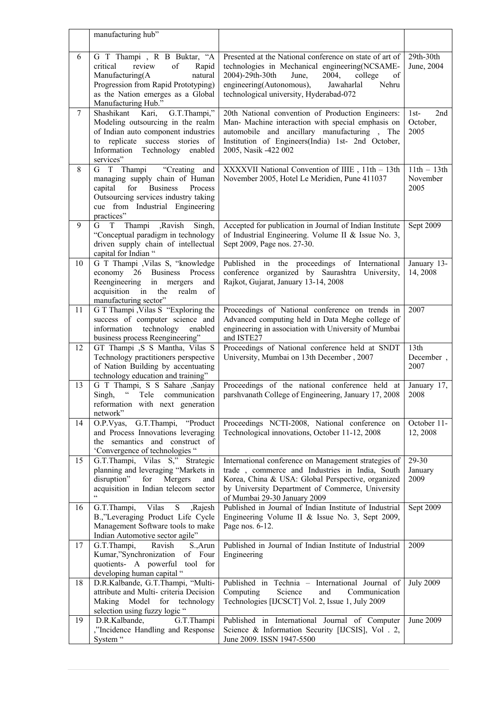|    | manufacturing hub"                                                                                                                                                                                     |                                                                                                                                                                                                                                                               |                                       |
|----|--------------------------------------------------------------------------------------------------------------------------------------------------------------------------------------------------------|---------------------------------------------------------------------------------------------------------------------------------------------------------------------------------------------------------------------------------------------------------------|---------------------------------------|
| 6  | G T Thampi, R B Buktar, "A<br>review<br>critical<br>of<br>Rapid<br>Manufacturing(A<br>natural<br>Progression from Rapid Prototyping)<br>as the Nation emerges as a Global<br>Manufacturing Hub."       | Presented at the National conference on state of art of<br>technologies in Mechanical engineering(NCSAME-<br>2004)-29th-30th<br>June,<br>2004,<br>of<br>college<br>engineering(Autonomous),<br>Jawaharlal<br>Nehru<br>technological university, Hyderabad-072 | 29th-30th<br>June, 2004               |
| 7  | G.T.Thampi,"<br>Shashikant Kari,<br>Modeling outsourcing in the realm<br>of Indian auto component industries<br>to replicate success stories of<br>Information<br>Technology<br>enabled<br>services"   | 20th National convention of Production Engineers:<br>Man- Machine interaction with special emphasis on<br>automobile and ancillary manufacturing, The<br>Institution of Engineers(India) 1st- 2nd October,<br>2005, Nasik -422 002                            | 2nd<br>$1st-$<br>October,<br>2005     |
| 8  | G T Thampi<br>"Creating and<br>managing supply chain of Human<br><b>Business</b><br>capital<br>for<br>Process<br>Outsourcing services industry taking<br>cue from Industrial Engineering<br>practices" | XXXXVII National Convention of IIIE, 11th - 13th<br>November 2005, Hotel Le Meridien, Pune 411037                                                                                                                                                             | $11th - 13th$<br>November<br>2005     |
| 9  | G T<br>Thampi<br>,Ravish<br>Singh,<br>"Conceptual paradigm in technology<br>driven supply chain of intellectual<br>capital for Indian "                                                                | Accepted for publication in Journal of Indian Institute<br>of Industrial Engineering. Volume II & Issue No. 3,<br>Sept 2009, Page nos. 27-30.                                                                                                                 | Sept 2009                             |
| 10 | G T Thampi , Vilas S, "knowledge<br>economy 26 Business Process<br>Reengineering<br>in mergers<br>and<br>acquisition in<br>the<br>realm<br>of<br>manufacturing sector"                                 | Published in the proceedings of International<br>conference organized by Saurashtra University,<br>Rajkot, Gujarat, January 13-14, 2008                                                                                                                       | January 13-<br>14, 2008               |
| 11 | G T Thampi , Vilas S "Exploring the<br>success of computer science and<br>technology<br>information<br>enabled<br>business process Reengineering"                                                      | Proceedings of National conference on trends in<br>Advanced computing held in Data Meghe college of<br>engineering in association with University of Mumbai<br>and ISTE27                                                                                     | 2007                                  |
| 12 | GT Thampi ,S S Mantha, Vilas S<br>Technology practitioners perspective<br>of Nation Building by accentuating<br>technology education and training"                                                     | Proceedings of National conference held at SNDT<br>University, Mumbai on 13th December, 2007                                                                                                                                                                  | 13 <sup>th</sup><br>December,<br>2007 |
| 13 | G T Thampi, S S Sahare , Sanjay<br>$\epsilon$<br>Singh,<br>Tele communication<br>reformation with next generation<br>network"                                                                          | Proceedings of the national conference held at<br>parshvanath College of Engineering, January 17, 2008                                                                                                                                                        | January 17,<br>2008                   |
| 14 | G.T.Thampi,<br>"Product<br>O.P.Vyas,<br>and Process Innovations leveraging<br>the semantics and construct of<br>'Convergence of technologies "                                                         | Proceedings NCTI-2008, National conference on<br>Technological innovations, October 11-12, 2008                                                                                                                                                               | October 11-<br>12, 2008               |
| 15 | G.T.Thampi, Vilas S," Strategic<br>planning and leveraging "Markets in<br>disruption"<br>for<br>Mergers<br>and<br>acquisition in Indian telecom sector                                                 | International conference on Management strategies of<br>trade, commerce and Industries in India, South<br>Korea, China & USA: Global Perspective, organized<br>by University Department of Commerce, University<br>of Mumbai 29-30 January 2009               | 29-30<br>January<br>2009              |
| 16 | G.T.Thampi,<br>Vilas<br>${\bf S}$<br>,Rajesh<br>B.,"Leveraging Product Life Cycle<br>Management Software tools to make<br>Indian Automotive sector agile"                                              | Published in Journal of Indian Institute of Industrial<br>Engineering Volume II & Issue No. 3, Sept 2009,<br>Page nos. 6-12.                                                                                                                                  | Sept 2009                             |
| 17 | G.T.Thampi,<br>Ravish<br>S., Arun<br>Kumar,"Synchronization<br>of Four<br>quotients- A powerful tool for<br>developing human capital "                                                                 | Published in Journal of Indian Institute of Industrial<br>Engineering                                                                                                                                                                                         | 2009                                  |
| 18 | D.R.Kalbande, G.T.Thampi, "Multi-<br>attribute and Multi- criteria Decision<br>Making Model<br>for technology<br>selection using fuzzy logic "                                                         | Published in Technia - International Journal of<br>Science<br>Computing<br>and<br>Communication<br>Technologies [IJCSCT] Vol. 2, Issue 1, July 2009                                                                                                           | <b>July 2009</b>                      |
| 19 | D.R.Kalbande,<br>G.T.Thampi<br>,"Incidence Handling and Response<br>System "                                                                                                                           | Published in International Journal of Computer<br>Science & Information Security [IJCSIS], Vol. 2,<br>June 2009. ISSN 1947-5500                                                                                                                               | June 2009                             |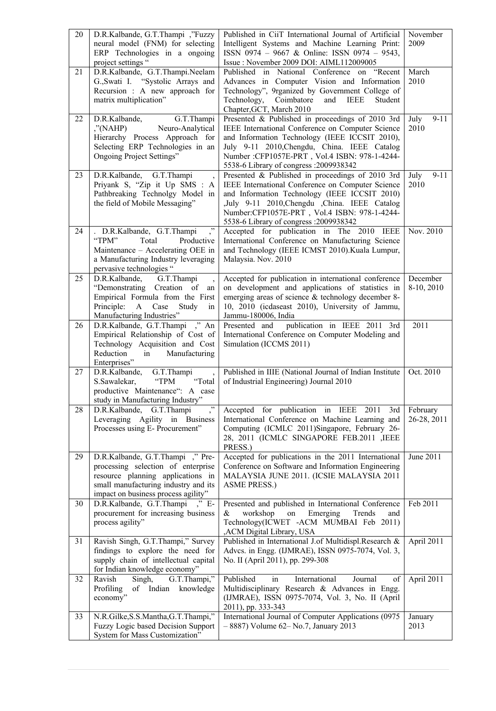| 20 | D.R.Kalbande, G.T.Thampi, "Fuzzy<br>neural model (FNM) for selecting<br>ERP Technologies in a ongoing<br>project settings "                                                                      | Published in CiiT International Journal of Artificial<br>Intelligent Systems and Machine Learning Print:<br>ISSN 0974 - 9667 & Online: ISSN 0974 - 9543,<br>Issue: November 2009 DOI: AIML112009005                                                                                                 | November<br>2009         |
|----|--------------------------------------------------------------------------------------------------------------------------------------------------------------------------------------------------|-----------------------------------------------------------------------------------------------------------------------------------------------------------------------------------------------------------------------------------------------------------------------------------------------------|--------------------------|
| 21 | D.R.Kalbande, G.T.Thampi.Neelam<br>G., Swati I. "Systolic Arrays and<br>Recursion : A new approach for<br>matrix multiplication"                                                                 | Published in National Conference on "Recent<br>Advances in Computer Vision and Information<br>Technology", 9rganized by Government College of<br>Coimbatore<br>Technology,<br>and<br><b>IEEE</b><br>Student<br>Chapter, GCT, March 2010                                                             | March<br>2010            |
| 22 | D.R.Kalbande,<br>G.T.Thampi<br>$,$ "(NAHP)<br>Neuro-Analytical<br>Hierarchy Process Approach for<br>Selecting ERP Technologies in an<br>Ongoing Project Settings"                                | Presented & Published in proceedings of 2010 3rd<br>IEEE International Conference on Computer Science<br>and Information Technology (IEEE ICCSIT 2010),<br>July 9-11 2010, Chengdu, China. IEEE Catalog<br>Number: CFP1057E-PRT, Vol.4 ISBN: 978-1-4244-<br>5538-6 Library of congress : 2009938342 | $9 - 11$<br>July<br>2010 |
| 23 | D.R.Kalbande,<br>G.T.Thampi<br>$\overline{\phantom{a}}$<br>Priyank S, "Zip it Up SMS : A<br>Pathbreaking Technolgy Model in<br>the field of Mobile Messaging"                                    | Presented & Published in proceedings of 2010 3rd<br>IEEE International Conference on Computer Science<br>and Information Technology (IEEE ICCSIT 2010)<br>,July 9-11 2010,Chengdu ,China. IEEE Catalog<br>Number:CFP1057E-PRT, Vol.4 ISBN: 978-1-4244-<br>5538-6 Library of congress : 2009938342   | July<br>$9 - 11$<br>2010 |
| 24 | .,<br>. D.R.Kalbande, G.T.Thampi<br>"TPM"<br>Total<br>Productive<br>Maintenance - Accelerating OEE in<br>a Manufacturing Industry leveraging<br>pervasive technologies "                         | Accepted for publication in The 2010 IEEE<br>International Conference on Manufacturing Science<br>and Technology (IEEE ICMST 2010). Kuala Lumpur,<br>Malaysia. Nov. 2010                                                                                                                            | Nov. 2010                |
| 25 | D.R.Kalbande, G.T.Thampi<br>$\overline{\phantom{a}}$<br>"Demonstrating Creation of<br>an<br>Empirical Formula from the First<br>Principle: A<br>Case<br>Study<br>in<br>Manufacturing Industries" | Accepted for publication in international conference<br>on development and applications of statistics in<br>emerging areas of science & technology december 8-<br>10, 2010 (icdaseast 2010), University of Jammu,<br>Jammu-180006, India                                                            | December<br>8-10, 2010   |
| 26 | D.R.Kalbande, G.T.Thampi," An<br>Empirical Relationship of Cost of<br>Technology Acquisition and Cost<br>Reduction<br>Manufacturing<br>in<br>Enterprises"                                        | Presented and publication in IEEE 2011 3rd<br>International Conference on Computer Modeling and<br>Simulation (ICCMS 2011)                                                                                                                                                                          | 2011                     |
| 27 | D.R.Kalbande,<br>G.T.Thampi<br>"Total<br>"TPM<br>S.Sawalekar,<br>productive Maintenance": A case<br>study in Manufacturing Industry"                                                             | Published in IIIE (National Journal of Indian Institute<br>of Industrial Engineering) Journal 2010                                                                                                                                                                                                  | Oct. 2010                |
| 28 | $,$ ,<br>D.R.Kalbande, G.T.Thampi<br>Leveraging Agility in Business<br>Processes using E- Procurement"                                                                                           | Accepted for publication in IEEE<br>2011<br>3rd<br>International Conference on Machine Learning and<br>Computing (ICMLC 2011)Singapore, February 26-<br>28, 2011 (ICMLC SINGAPORE FEB.2011 ,IEEE<br>PRESS.)                                                                                         | February<br>26-28, 2011  |
| 29 | D.R.Kalbande, G.T.Thampi," Pre-<br>processing selection of enterprise<br>resource planning applications in<br>small manufacturing industry and its<br>impact on business process agility"        | Accepted for publications in the 2011 International<br>Conference on Software and Information Engineering<br>MALAYSIA JUNE 2011. (ICSIE MALAYSIA 2011<br><b>ASME PRESS.)</b>                                                                                                                        | June 2011                |
| 30 | D.R.Kalbande, G.T.Thampi ," E-<br>procurement for increasing business<br>process agility"                                                                                                        | Presented and published in International Conference<br>$\&$<br>workshop<br>Emerging<br>Trends<br>on<br>and<br>Technology(ICWET -ACM MUMBAI Feb 2011)<br>, ACM Digital Library, USA                                                                                                                  | Feb 2011                 |
| 31 | Ravish Singh, G.T.Thampi," Survey<br>findings to explore the need for<br>supply chain of intellectual capital<br>for Indian knowledge economy"                                                   | Published in International J.of Multidispl.Research &<br>Advcs. in Engg. (IJMRAE), ISSN 0975-7074, Vol. 3,<br>No. II (April 2011), pp. 299-308                                                                                                                                                      | April 2011               |
| 32 | G.T.Thampi,"<br>Ravish<br>Singh,<br>Profiling<br>of<br>Indian knowledge<br>economy"                                                                                                              | Published<br>International<br>Journal<br>in<br>of<br>Multidisciplinary Research & Advances in Engg.<br>(IJMRAE), ISSN 0975-7074, Vol. 3, No. II (April<br>2011), pp. 333-343                                                                                                                        | April 2011               |
| 33 | N.R.Gilke, S.S.Mantha, G.T.Thampi,"<br>Fuzzy Logic based Decision Support<br>System for Mass Customization"                                                                                      | International Journal of Computer Applications (0975<br>$-8887$ ) Volume 62–No.7, January 2013                                                                                                                                                                                                      | January<br>2013          |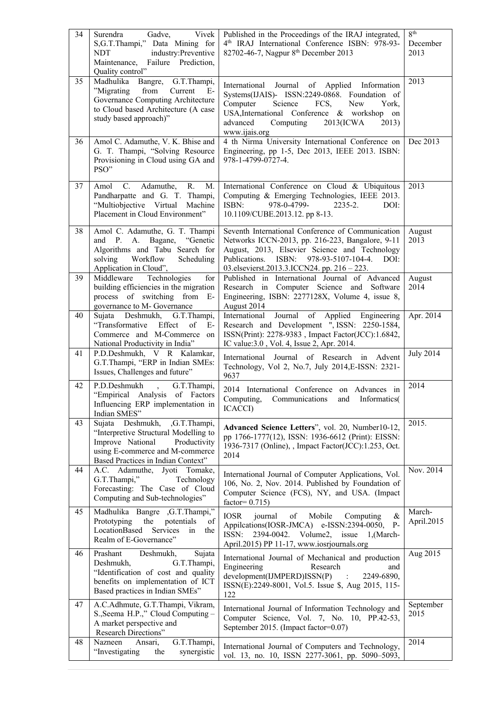| 34 | Gadve,<br>Vivek<br>Surendra<br>S,G.T.Thampi," Data Mining for<br>industry:Preventive<br>NDT<br>Maintenance, Failure Prediction,<br>Quality control"                                    | Published in the Proceedings of the IRAJ integrated,<br>4 <sup>th</sup> IRAJ International Conference ISBN: 978-93-<br>82702-46-7, Nagpur 8 <sup>th</sup> December 2013                                                                                           | 8 <sup>th</sup><br>December<br>2013 |
|----|----------------------------------------------------------------------------------------------------------------------------------------------------------------------------------------|-------------------------------------------------------------------------------------------------------------------------------------------------------------------------------------------------------------------------------------------------------------------|-------------------------------------|
| 35 | Madhulika<br>Bangre,<br>G.T.Thampi,<br>"Migrating<br>from<br>Current<br>$E-$<br>Governance Computing Architecture<br>to Cloud based Architecture (A case<br>study based approach)"     | International Journal of Applied Information<br>Systems(IJAIS)- ISSN:2249-0868. Foundation of<br>Computer<br>Science<br>FCS,<br>New<br>York,<br>USA, International Conference & workshop on<br>Computing<br>advanced<br>$2013$ (ICWA<br>2013)<br>www.ijais.org    | 2013                                |
| 36 | Amol C. Adamuthe, V. K. Bhise and<br>G. T. Thampi, "Solving Resource<br>Provisioning in Cloud using GA and<br>PSO"                                                                     | 4 th Nirma University International Conference on<br>Engineering, pp 1-5, Dec 2013, IEEE 2013. ISBN:<br>978-1-4799-0727-4.                                                                                                                                        | Dec 2013                            |
| 37 | $C_{\cdot}$<br>R.<br>Adamuthe,<br>M.<br>Amol<br>Pandharpatte and G. T. Thampi,<br>"Multiobjective Virtual<br>Machine<br>Placement in Cloud Environment"                                | International Conference on Cloud & Ubiquitous<br>Computing & Emerging Technologies, IEEE 2013.<br>ISBN:<br>978-0-4799-<br>2235-2.<br>DOI:<br>10.1109/CUBE.2013.12. pp 8-13.                                                                                      | 2013                                |
| 38 | Amol C. Adamuthe, G. T. Thampi<br>"Genetic<br>and P. A. Bagane,<br>Algorithms and Tabu Search for<br>Workflow<br>solving<br>Scheduling<br>Application in Cloud",                       | Seventh International Conference of Communication<br>Networks ICCN-2013, pp. 216-223, Bangalore, 9-11<br>August, 2013, Elsevier Science and Technology<br>978-93-5107-104-4.<br>Publications.<br>ISBN:<br>DOI:<br>03. elsevierst. 2013. 3. ICCN24. pp. 216 - 223. | August<br>2013                      |
| 39 | Technologies<br>Middleware<br>for<br>building efficiencies in the migration<br>process of switching from E-<br>governance to M- Governance                                             | Published in International Journal of Advanced<br>Research in Computer Science and Software<br>Engineering, ISBN: 2277128X, Volume 4, issue 8,<br>August 2014                                                                                                     | August<br>2014                      |
| 40 | Sujata Deshmukh, G.T.Thampi,<br>"Transformative<br>Effect<br>of<br>$E-$<br>Commerce and M-Commerce on<br>National Productivity in India"                                               | International Journal of Applied Engineering<br>Research and Development ", ISSN: 2250-1584,<br>ISSN(Print): 2278-9383, Impact Factor(JCC):1.6842,<br>IC value: 3.0, Vol. 4, Issue 2, Apr. 2014.                                                                  | Apr. 2014                           |
| 41 | P.D.Deshmukh, V R Kalamkar,<br>G.T.Thampi, "ERP in Indian SMEs:<br>Issues, Challenges and future"                                                                                      | International Journal of Research in Advent<br>Technology, Vol 2, No.7, July 2014, E-ISSN: 2321-<br>9637                                                                                                                                                          | <b>July 2014</b>                    |
| 42 | P.D.Deshmukh<br>G.T.Thampi,<br>"Empirical Analysis of Factors<br>Influencing ERP implementation in<br>Indian SMES"                                                                     | 2014 International Conference on Advances in<br>Computing,<br>Communications and Informatics<br>ICACCI)                                                                                                                                                           | 2014                                |
| 43 | Sujata Deshmukh,<br>,G.T.Thampi,<br>"Interpretive Structural Modelling to<br>Improve National<br>Productivity<br>using E-commerce and M-commerce<br>Based Practices in Indian Context" | Advanced Science Letters", vol. 20, Number10-12,<br>pp 1766-1777(12), ISSN: 1936-6612 (Print): EISSN:<br>1936-7317 (Online), , Impact Factor(JCC):1.253, Oct.<br>2014                                                                                             | 2015.                               |
| 44 | A.C. Adamuthe, Jyoti Tomake,<br>G.T.Thampi,"<br>Technology<br>Forecasting: The Case of Cloud<br>Computing and Sub-technologies"                                                        | International Journal of Computer Applications, Vol.<br>106, No. 2, Nov. 2014. Published by Foundation of<br>Computer Science (FCS), NY, and USA. (Impact<br>factor= $0.715$ )                                                                                    | Nov. 2014                           |
| 45 | Madhulika Bangre , G.T.Thampi,"<br>the<br>potentials<br>Prototyping<br>of<br>LocationBased<br>Services in<br>the<br>Realm of E-Governance"                                             | <b>IOSR</b><br>$\&$<br>journal<br>Mobile<br>Computing<br>of<br>Appilcations(IOSR-JMCA) e-ISSN:2394-0050,<br>$P-$<br>2394-0042. Volume2, issue<br>ISSN:<br>1,(March-<br>April.2015) PP 11-17, www.iosrjournals.org                                                 | March-<br>April.2015                |
| 46 | Prashant<br>Deshmukh,<br>Sujata<br>Deshmukh,<br>G.T.Thampi,<br>"Identification of cost and quality<br>benefits on implementation of ICT<br>Based practices in Indian SMEs"             | International Journal of Mechanical and production<br>Engineering<br>Research<br>and<br>development(IJMPERD)ISSN(P)<br>2249-6890,<br>$\sim 10^{-1}$<br>ISSN(E):2249-8001, Vol.5. Issue \$, Aug 2015, 115-<br>122                                                  | Aug 2015                            |
| 47 | A.C.Adhmute, G.T.Thampi, Vikram,<br>S., Seema H.P.," Cloud Computing -<br>A market perspective and<br>Research Directions"                                                             | International Journal of Information Technology and<br>Computer Science, Vol. 7, No. 10, PP.42-53,<br>September 2015. (Impact factor=0.07)                                                                                                                        | September<br>2015                   |
| 48 | Nazneen<br>G.T.Thampi,<br>Ansari,<br>"Investigating<br>synergistic<br>the                                                                                                              | International Journal of Computers and Technology,<br>vol. 13, no. 10, ISSN 2277-3061, pp. 5090-5093,                                                                                                                                                             | 2014                                |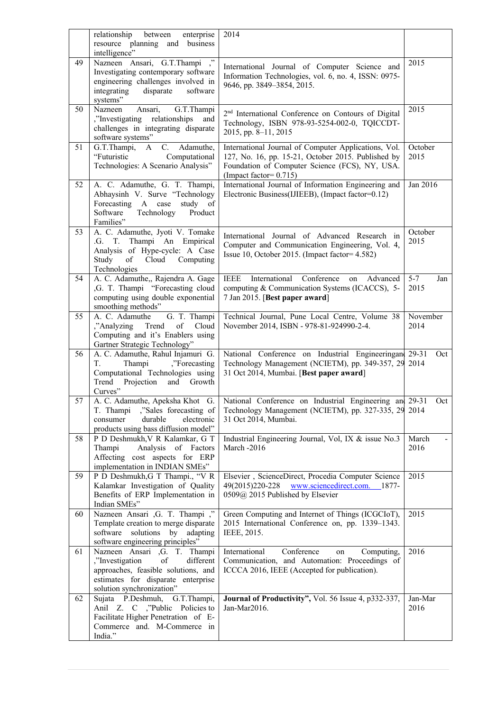|    | relationship<br>between<br>enterprise<br>resource planning and business<br>intelligence"                                                                                      | 2014                                                                                                                                                                                      |                        |
|----|-------------------------------------------------------------------------------------------------------------------------------------------------------------------------------|-------------------------------------------------------------------------------------------------------------------------------------------------------------------------------------------|------------------------|
| 49 | ,<br>Nazneen Ansari, G.T.Thampi<br>Investigating contemporary software<br>engineering challenges involved in<br>disparate<br>integrating<br>software<br>systems"              | International Journal of Computer Science and<br>Information Technologies, vol. 6, no. 4, ISSN: 0975-<br>9646, pp. 3849-3854, 2015.                                                       | 2015                   |
| 50 | G.T.Thampi<br>Nazneen<br>Ansari,<br>"Investigating relationships",<br>and<br>challenges in integrating disparate<br>software systems"                                         | 2 <sup>nd</sup> International Conference on Contours of Digital<br>Technology, ISBN 978-93-5254-002-0, TQICCDT-<br>2015, pp. 8-11, 2015                                                   | 2015                   |
| 51 | C.<br>G.T.Thampi,<br>$\mathbf{A}$<br>Adamuthe,<br>"Futuristic<br>Computational<br>Technologies: A Scenario Analysis"                                                          | International Journal of Computer Applications, Vol.<br>127, No. 16, pp. 15-21, October 2015. Published by<br>Foundation of Computer Science (FCS), NY, USA.<br>(Impact factor= $0.715$ ) | October<br>2015        |
| 52 | A. C. Adamuthe, G. T. Thampi,<br>Abhaysinh V. Surve "Technology<br>Forecasting A case<br>study of<br>Software<br>Technology<br>Product<br>Families"                           | International Journal of Information Engineering and<br>Electronic Business(IJIEEB), (Impact factor=0.12)                                                                                 | Jan 2016               |
| 53 | A. C. Adamuthe, Jyoti V. Tomake<br>Thampi An Empirical<br>.G.<br>T.<br>Analysis of Hype-cycle: A Case<br>of Cloud Computing<br>Study<br>Technologies                          | International Journal of Advanced Research in<br>Computer and Communication Engineering, Vol. 4,<br>Issue 10, October 2015. (Impact factor= 4.582)                                        | October<br>2015        |
| 54 | A. C. Adamuthe,, Rajendra A. Gage<br>,G. T. Thampi "Forecasting cloud<br>computing using double exponential<br>smoothing methods"                                             | <b>IEEE</b><br>International<br>Conference<br>Advanced<br>on<br>computing & Communication Systems (ICACCS), 5-<br>7 Jan 2015. [Best paper award]                                          | $5 - 7$<br>Jan<br>2015 |
| 55 | A. C. Adamuthe<br>G. T. Thampi<br>Trend<br>of<br>Cloud<br>,"Analyzing<br>Computing and it's Enablers using<br>Gartner Strategic Technology"                                   | Technical Journal, Pune Local Centre, Volume 38<br>November 2014, ISBN - 978-81-924990-2-4.                                                                                               | November<br>2014       |
| 56 | A. C. Adamuthe, Rahul Injamuri G.<br>Thampi<br>,"Forecasting",<br>Т.<br>Computational Technologies using<br>Trend Projection and Growth<br>Curves"                            | National Conference on Industrial Engineeringan 29-31<br>Technology Management (NCIETM), pp. 349-357, 29 2014<br>31 Oct 2014, Mumbai. [Best paper award]                                  | Oct                    |
| 57 | A. C. Adamuthe, Apeksha Khot G.<br>,"Sales forecasting of<br>T. Thampi<br>durable<br>electronic<br>consumer<br>products using bass diffusion model"                           | National Conference on Industrial Engineering and 29-31<br>Technology Management (NCIETM), pp. 327-335, 29<br>31 Oct 2014, Mumbai.                                                        | Oct<br>2014            |
| 58 | P D Deshmukh, V R Kalamkar, G T<br>Thampi<br>Analysis of Factors<br>Affecting cost aspects for ERP<br>implementation in INDIAN SMEs"                                          | Industrial Engineering Journal, Vol, IX & issue No.3<br>March -2016                                                                                                                       | March<br>2016          |
| 59 | P D Deshmukh, G T Thampi., "V R<br>Kalamkar Investigation of Quality<br>Benefits of ERP Implementation in<br>Indian SMEs"                                                     | Elsevier, ScienceDirect, Procedia Computer Science<br>www.sciencedirect.com. 1877-<br>49(2015)220-228<br>0509@ 2015 Published by Elsevier                                                 | 2015                   |
| 60 | Nazneen Ansari , G. T. Thampi ,"<br>Template creation to merge disparate<br>software solutions<br>adapting<br>by<br>software engineering principles"                          | Green Computing and Internet of Things (ICGCIoT),<br>2015 International Conference on, pp. 1339-1343.<br>IEEE, 2015.                                                                      | 2015                   |
| 61 | Nazneen Ansari , G. T. Thampi<br>of<br>different<br>,"Investigation<br>approaches, feasible solutions, and<br>estimates for disparate enterprise<br>solution synchronization" | Conference<br>International<br>Computing,<br>on<br>Communication, and Automation: Proceedings of<br>ICCCA 2016, IEEE (Accepted for publication).                                          | 2016                   |
| 62 | Sujata P.Deshmuh,<br>G.T.Thampi,<br>Anil Z. C ,"Public Policies to<br>Facilitate Higher Penetration of E-<br>Commerce and. M-Commerce in<br>India."                           | Journal of Productivity", Vol. 56 Issue 4, p332-337,<br>Jan-Mar2016.                                                                                                                      | Jan-Mar<br>2016        |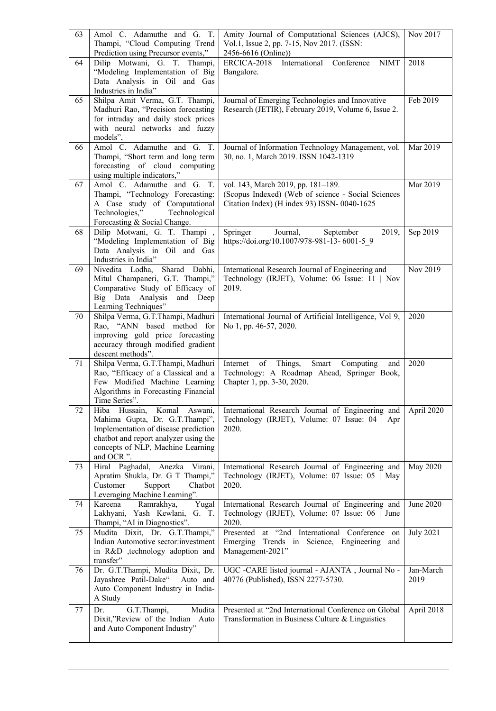| 63 | Amol C. Adamuthe and G. T.<br>Thampi, "Cloud Computing Trend               | Amity Journal of Computational Sciences (AJCS),<br>Vol.1, Issue 2, pp. 7-15, Nov 2017. (ISSN:         | Nov 2017         |
|----|----------------------------------------------------------------------------|-------------------------------------------------------------------------------------------------------|------------------|
|    | Prediction using Precursor events,"                                        | 2456-6616 (Online))                                                                                   |                  |
| 64 | Dilip Motwani, G. T. Thampi,<br>"Modeling Implementation of Big            | ERCICA-2018<br>International<br>Conference<br><b>NIMT</b><br>Bangalore.                               | 2018             |
|    | Data Analysis in Oil and Gas                                               |                                                                                                       |                  |
|    | Industries in India"                                                       |                                                                                                       |                  |
| 65 | Shilpa Amit Verma, G.T. Thampi,                                            | Journal of Emerging Technologies and Innovative                                                       | Feb 2019         |
|    | Madhuri Rao, "Precision forecasting<br>for intraday and daily stock prices | Research (JETIR), February 2019, Volume 6, Issue 2.                                                   |                  |
|    | with neural networks and fuzzy                                             |                                                                                                       |                  |
|    | models",                                                                   |                                                                                                       |                  |
| 66 | Amol C. Adamuthe and G. T.<br>Thampi, "Short term and long term            | Journal of Information Technology Management, vol.<br>30, no. 1, March 2019. ISSN 1042-1319           | Mar 2019         |
|    | forecasting of cloud computing                                             |                                                                                                       |                  |
|    | using multiple indicators,"                                                |                                                                                                       |                  |
| 67 | Amol C. Adamuthe and G. T.                                                 | vol. 143, March 2019, pp. 181-189.                                                                    | Mar 2019         |
|    | Thampi, "Technology Forecasting:<br>A Case study of Computational          | (Scopus Indexed) (Web of science - Social Sciences<br>Citation Index) (H index 93) ISSN-0040-1625     |                  |
|    | Technologies," Technological                                               |                                                                                                       |                  |
|    | Forecasting & Social Change.                                               |                                                                                                       |                  |
| 68 | Dilip Motwani, G. T. Thampi,                                               | Springer<br>Journal,<br>September<br>2019,                                                            | Sep 2019         |
|    | "Modeling Implementation of Big<br>Data Analysis in Oil and Gas            | https://doi.org/10.1007/978-981-13-6001-59                                                            |                  |
|    | Industries in India"                                                       |                                                                                                       |                  |
| 69 | Sharad<br>Nivedita Lodha,<br>Dabhi,                                        | International Research Journal of Engineering and                                                     | Nov 2019         |
|    | Mitul Champaneri, G.T. Thampi,"                                            | Technology (IRJET), Volume: 06 Issue: 11   Nov                                                        |                  |
|    | Comparative Study of Efficacy of<br>Big Data Analysis<br>and Deep          | 2019.                                                                                                 |                  |
|    | Learning Techniques"                                                       |                                                                                                       |                  |
| 70 | Shilpa Verma, G.T.Thampi, Madhuri                                          | International Journal of Artificial Intelligence, Vol 9,                                              | 2020             |
|    | Rao, "ANN based method for<br>improving gold price forecasting             | No 1, pp. 46-57, 2020.                                                                                |                  |
|    | accuracy through modified gradient                                         |                                                                                                       |                  |
|    | descent methods".                                                          |                                                                                                       |                  |
| 71 | Shilpa Verma, G.T.Thampi, Madhuri<br>Rao, "Efficacy of a Classical and a   | Internet<br>Things,<br>of<br>Smart<br>Computing<br>and<br>Technology: A Roadmap Ahead, Springer Book, | 2020             |
|    | Few Modified Machine Learning                                              | Chapter 1, pp. 3-30, 2020.                                                                            |                  |
|    | Algorithms in Forecasting Financial                                        |                                                                                                       |                  |
|    | Time Series".                                                              |                                                                                                       |                  |
| 72 | Komal<br>Hiba Hussain,<br>Aswani,<br>Mahima Gupta, Dr. G.T.Thampi",        | International Research Journal of Engineering and<br>Technology (IRJET), Volume: 07 Issue: 04   Apr   | April 2020       |
|    | Implementation of disease prediction                                       | 2020.                                                                                                 |                  |
|    | chatbot and report analyzer using the                                      |                                                                                                       |                  |
|    | concepts of NLP, Machine Learning<br>and OCR".                             |                                                                                                       |                  |
| 73 | Hiral Paghadal, Anezka Virani,                                             | International Research Journal of Engineering and                                                     | May 2020         |
|    | Apratim Shukla, Dr. G T Thampi,"                                           | Technology (IRJET), Volume: 07 Issue: 05   May                                                        |                  |
|    | Customer<br>Support<br>Chatbot                                             | 2020.                                                                                                 |                  |
| 74 | Leveraging Machine Learning".<br>Kareena<br>Ramrakhya,<br>Yugal            | International Research Journal of Engineering and                                                     | June 2020        |
|    | Lakhyani, Yash Kewlani,<br>G. T.                                           | Technology (IRJET), Volume: 07 Issue: 06   June                                                       |                  |
|    | Thampi, "AI in Diagnostics".                                               | 2020.                                                                                                 |                  |
| 75 | Mudita Dixit, Dr. G.T.Thampi,"<br>Indian Automotive sector:investment      | Presented at "2nd International Conference on                                                         | <b>July 2021</b> |
|    | in R&D ,technology adoption and                                            | Emerging Trends in Science, Engineering and<br>Management-2021"                                       |                  |
|    | transfer"                                                                  |                                                                                                       |                  |
| 76 | Dr. G.T.Thampi, Mudita Dixit, Dr.                                          | UGC -CARE listed journal - AJANTA, Journal No -                                                       | Jan-March        |
|    | Jayashree Patil-Dake"<br>Auto and<br>Auto Component Industry in India-     | 40776 (Published), ISSN 2277-5730.                                                                    | 2019             |
|    | A Study                                                                    |                                                                                                       |                  |
| 77 | Mudita<br>Dr.<br>G.T.Thampi,                                               | Presented at "2nd International Conference on Global                                                  | April 2018       |
|    | Dixit,"Review of the Indian Auto                                           | Transformation in Business Culture & Linguistics                                                      |                  |
|    | and Auto Component Industry"                                               |                                                                                                       |                  |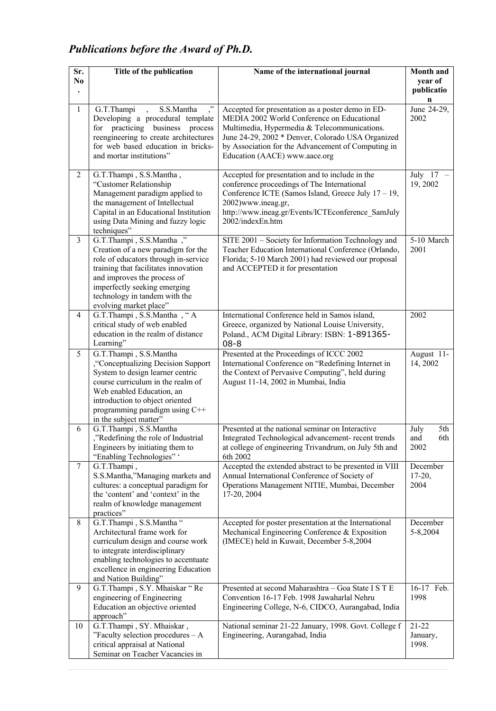# *Publications before the Award of Ph.D.*

| Sr.            | Title of the publication                                                                                                                                                                                                                                                 | Name of the international journal                                                                                                                                                                                                                                                           | Month and                          |
|----------------|--------------------------------------------------------------------------------------------------------------------------------------------------------------------------------------------------------------------------------------------------------------------------|---------------------------------------------------------------------------------------------------------------------------------------------------------------------------------------------------------------------------------------------------------------------------------------------|------------------------------------|
| N <sub>0</sub> |                                                                                                                                                                                                                                                                          |                                                                                                                                                                                                                                                                                             | year of<br>publicatio              |
| $\mathbf{1}$   | G.T.Thampi<br>S.S.Mantha<br>."<br>$\ddot{\phantom{0}}$<br>Developing a procedural template<br>for practicing business process<br>reengineering to create architectures<br>for web based education in bricks-<br>and mortar institutions"                                 | Accepted for presentation as a poster demo in ED-<br>MEDIA 2002 World Conference on Educational<br>Multimedia, Hypermedia & Telecommunications.<br>June 24-29, 2002 * Denver, Colorado USA Organized<br>by Association for the Advancement of Computing in<br>Education (AACE) www.aace.org | n<br>June 24-29,<br>2002           |
| $\overline{2}$ | G.T.Thampi, S.S.Mantha,<br>"Customer Relationship<br>Management paradigm applied to<br>the management of Intellectual<br>Capital in an Educational Institution<br>using Data Mining and fuzzy logic<br>techniques"                                                       | Accepted for presentation and to include in the<br>conference proceedings of The International<br>Conference ICTE (Samos Island, Greece July 17 - 19,<br>2002)www.ineag.gr,<br>http://www.ineag.gr/Events/ICTEconference SamJuly<br>2002/indexEn.htm                                        | July 17<br>19, 2002                |
| 3              | G.T.Thampi, S.S.Mantha,"<br>Creation of a new paradigm for the<br>role of educators through in-service<br>training that facilitates innovation<br>and improves the process of<br>imperfectly seeking emerging<br>technology in tandem with the<br>evolving market place" | SITE 2001 - Society for Information Technology and<br>Teacher Education International Conference (Orlando,<br>Florida; 5-10 March 2001) had reviewed our proposal<br>and ACCEPTED it for presentation                                                                                       | 5-10 March<br>2001                 |
| 4              | G.T.Thampi, S.S.Mantha, "A<br>critical study of web enabled<br>education in the realm of distance<br>Learning"                                                                                                                                                           | International Conference held in Samos island,<br>Greece, organized by National Louise University,<br>Poland., ACM Digital Library: ISBN: 1-891365-<br>$08 - 8$                                                                                                                             | 2002                               |
| 5              | G.T.Thampi, S.S.Mantha<br>"Conceptualizing Decision Support",<br>System to design learner centric<br>course curriculum in the realm of<br>Web enabled Education, an<br>introduction to object oriented<br>programming paradigm using C++<br>in the subject matter"       | Presented at the Proceedings of ICCC 2002<br>International Conference on "Redefining Internet in<br>the Context of Pervasive Computing", held during<br>August 11-14, 2002 in Mumbai, India                                                                                                 | August 11-<br>14, 2002             |
| 6              | G.T.Thampi, S.S.Mantha<br>"Redefining the role of Industrial",<br>Engineers by initiating them to<br>"Enabling Technologies" '                                                                                                                                           | Presented at the national seminar on Interactive<br>Integrated Technological advancement- recent trends<br>at college of engineering Trivandrum, on July 5th and<br>6th 2002                                                                                                                | July<br>5th-<br>6th<br>and<br>2002 |
| $\tau$         | G.T.Thampi,<br>S.S.Mantha,"Managing markets and<br>cultures: a conceptual paradigm for<br>the 'content' and 'context' in the<br>realm of knowledge management<br>practices"                                                                                              | Accepted the extended abstract to be presented in VIII<br>Annual International Conference of Society of<br>Operations Management NITIE, Mumbai, December<br>17-20, 2004                                                                                                                     | December<br>$17-20,$<br>2004       |
| $\,$ 8 $\,$    | G.T.Thampi, S.S.Mantha "<br>Architectural frame work for<br>curriculum design and course work<br>to integrate interdisciplinary<br>enabling technologies to accentuate<br>excellence in engineering Education<br>and Nation Building"                                    | Accepted for poster presentation at the International<br>Mechanical Engineering Conference & Exposition<br>(IMECE) held in Kuwait, December 5-8,2004                                                                                                                                        | December<br>5-8,2004               |
| 9              | G.T.Thampi, S.Y. Mhaiskar "Re<br>engineering of Engineering<br>Education an objective oriented<br>approach"                                                                                                                                                              | Presented at second Maharashtra - Goa State I S T E<br>Convention 16-17 Feb. 1998 Jawaharlal Nehru<br>Engineering College, N-6, CIDCO, Aurangabad, India                                                                                                                                    | 16-17 Feb.<br>1998                 |
| 10             | G.T.Thampi, SY. Mhaiskar,<br>"Faculty selection procedures $-A$<br>critical appraisal at National<br>Seminar on Teacher Vacancies in                                                                                                                                     | National seminar 21-22 January, 1998. Govt. College f<br>Engineering, Aurangabad, India                                                                                                                                                                                                     | $21-22$<br>January,<br>1998.       |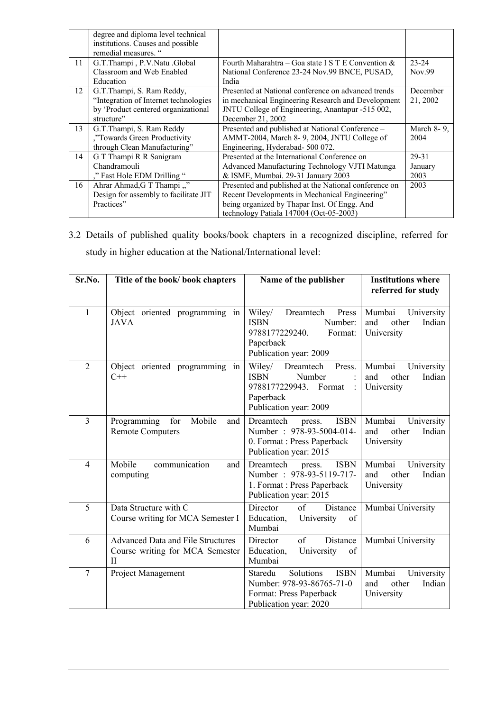|    | degree and diploma level technical<br>institutions. Causes and possible |                                                       |            |
|----|-------------------------------------------------------------------------|-------------------------------------------------------|------------|
|    | remedial measures. "                                                    |                                                       |            |
| 11 | G.T.Thampi, P.V.Natu.Global                                             | Fourth Maharahtra – Goa state I S T E Convention $\&$ | $23 - 24$  |
|    | Classroom and Web Enabled                                               | National Conference 23-24 Nov.99 BNCE, PUSAD,         | Nov.99     |
|    | Education                                                               | India                                                 |            |
| 12 | G.T.Thampi, S. Ram Reddy,                                               | Presented at National conference on advanced trends   | December   |
|    | "Integration of Internet technologies                                   | in mechanical Engineering Research and Development    | 21, 2002   |
|    | by 'Product centered organizational                                     | JNTU College of Engineering, Anantapur -515 002,      |            |
|    | structure"                                                              | December 21, 2002                                     |            |
| 13 | G.T.Thampi, S. Ram Reddy                                                | Presented and published at National Conference -      | March 8-9, |
|    | ,"Towards Green Productivity                                            | AMMT-2004, March 8-9, 2004, JNTU College of           | 2004       |
|    | through Clean Manufacturing"                                            | Engineering, Hyderabad- 500 072.                      |            |
| 14 | G T Thampi R R Sanigram                                                 | Presented at the International Conference on          | 29-31      |
|    | Chandramouli                                                            | Advanced Manufacturing Technology VJTI Matunga        | January    |
|    | ," Fast Hole EDM Drilling ".                                            | & ISME, Mumbai. 29-31 January 2003                    | 2003       |
| 16 | Ahrar Ahmad, G T Thampi,"                                               | Presented and published at the National conference on | 2003       |
|    | Design for assembly to facilitate JIT                                   | Recent Developments in Mechanical Engineering"        |            |
|    | Practices"                                                              | being organized by Thapar Inst. Of Engg. And          |            |
|    |                                                                         | technology Patiala 147004 (Oct-05-2003)               |            |

3.2 Details of published quality books/book chapters in a recognized discipline, referred for study in higher education at the National/International level:

| Sr.No.         | Title of the book/ book chapters                                                        | Name of the publisher                                                                                                             | <b>Institutions where</b><br>referred for study              |
|----------------|-----------------------------------------------------------------------------------------|-----------------------------------------------------------------------------------------------------------------------------------|--------------------------------------------------------------|
| $\mathbf{1}$   | Object oriented programming in<br><b>JAVA</b>                                           | Press<br>Wiley/<br>Dreamtech<br><b>ISBN</b><br>Number:<br>9788177229240.<br>Format:<br>Paperback<br>Publication year: 2009        | Mumbai<br>University<br>and<br>other<br>Indian<br>University |
| $\overline{2}$ | Object oriented programming<br>in<br>$C++$                                              | Wiley/<br>Press.<br>Dreamtech<br><b>ISBN</b><br>Number<br>9788177229943. Format<br>$\cdot$<br>Paperback<br>Publication year: 2009 | Mumbai<br>University<br>and<br>Indian<br>other<br>University |
| $\overline{3}$ | Mobile<br>Programming<br>for<br>and<br><b>Remote Computers</b>                          | <b>ISBN</b><br>Dreamtech<br>press.<br>Number: 978-93-5004-014-<br>0. Format : Press Paperback<br>Publication year: 2015           | Mumbai<br>University<br>and<br>other<br>Indian<br>University |
| $\overline{4}$ | Mobile<br>communication<br>and<br>computing                                             | <b>ISBN</b><br>Dreamtech<br>press.<br>Number: 978-93-5119-717-<br>1. Format : Press Paperback<br>Publication year: 2015           | Mumbai<br>University<br>other<br>Indian<br>and<br>University |
| 5              | Data Structure with C<br>Course writing for MCA Semester I                              | Director<br>of<br>Distance<br>Education,<br>University<br>of<br>Mumbai                                                            | Mumbai University                                            |
| 6              | <b>Advanced Data and File Structures</b><br>Course writing for MCA Semester<br>$\rm II$ | Director<br>of<br>Distance<br>Education,<br>University<br>of<br>Mumbai                                                            | Mumbai University                                            |
| $\overline{7}$ | Project Management                                                                      | Solutions<br><b>ISBN</b><br>Staredu<br>Number: 978-93-86765-71-0<br>Format: Press Paperback<br>Publication year: 2020             | Mumbai<br>University<br>Indian<br>other<br>and<br>University |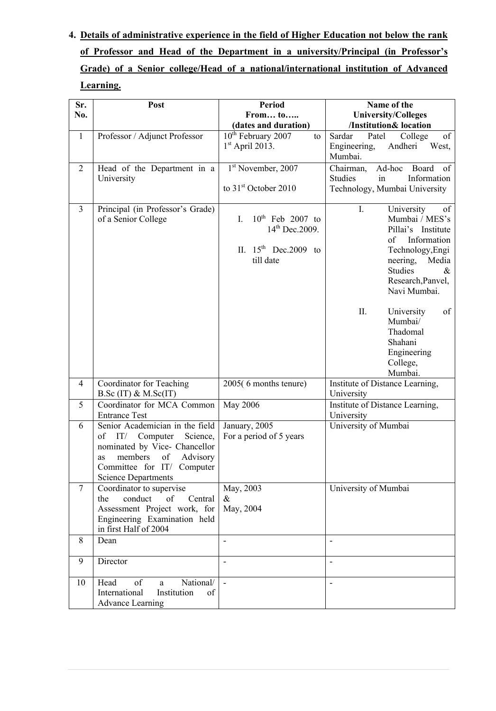# **4. Details of administrative experience in the field of Higher Education not below the rank of Professor and Head of the Department in a university/Principal (in Professor's Grade) of a Senior college/Head of a national/international institution of Advanced Learning.**

| Sr.            | Post                                                                                                                                                                                              | <b>Period</b>                                                                                  | Name of the                                                                                                                                                                                                                      |  |
|----------------|---------------------------------------------------------------------------------------------------------------------------------------------------------------------------------------------------|------------------------------------------------------------------------------------------------|----------------------------------------------------------------------------------------------------------------------------------------------------------------------------------------------------------------------------------|--|
| No.            |                                                                                                                                                                                                   | From to                                                                                        | <b>University/Colleges</b><br>/Institution& location                                                                                                                                                                             |  |
| $\mathbf{1}$   | Professor / Adjunct Professor                                                                                                                                                                     | (dates and duration)<br>10 <sup>th</sup> February 2007<br>to                                   | Sardar<br>Patel<br>College<br>of                                                                                                                                                                                                 |  |
|                |                                                                                                                                                                                                   | $1st$ April 2013.                                                                              | Engineering,<br>Andheri<br>West,<br>Mumbai.                                                                                                                                                                                      |  |
| $\overline{2}$ | Head of the Department in a                                                                                                                                                                       | 1 <sup>st</sup> November, 2007                                                                 | Chairman,<br>Ad-hoc Board<br>of                                                                                                                                                                                                  |  |
|                | University                                                                                                                                                                                        | to 31 <sup>st</sup> October 2010                                                               | Information<br><b>Studies</b><br>in<br>Technology, Mumbai University                                                                                                                                                             |  |
|                |                                                                                                                                                                                                   |                                                                                                |                                                                                                                                                                                                                                  |  |
| $\overline{3}$ | Principal (in Professor's Grade)<br>of a Senior College                                                                                                                                           | $10^{th}$ Feb 2007 to<br>L.<br>$14^{th}$ Dec. 2009.<br>II. $15^{th}$ Dec. 2009 to<br>till date | University<br>I.<br>of<br>Mumbai / MES's<br>Pillai's Institute<br>Information<br>of<br>Technology, Engi<br>neering,<br>Media<br><b>Studies</b><br>$\&$<br>Research, Panvel,<br>Navi Mumbai.<br>Π.<br>of<br>University<br>Mumbai/ |  |
|                |                                                                                                                                                                                                   |                                                                                                | Thadomal<br>Shahani<br>Engineering<br>College,<br>Mumbai.                                                                                                                                                                        |  |
| $\overline{4}$ | Coordinator for Teaching<br>$B.Sc$ (IT) & M.Sc(IT)                                                                                                                                                | 2005(6 months tenure)                                                                          | Institute of Distance Learning,<br>University                                                                                                                                                                                    |  |
| 5              | Coordinator for MCA Common<br><b>Entrance Test</b>                                                                                                                                                | <b>May 2006</b>                                                                                | Institute of Distance Learning,<br>University                                                                                                                                                                                    |  |
| 6              | Senior Academician in the field<br>of<br>IT/ Computer<br>Science,<br>nominated by Vice- Chancellor<br>of<br>Advisory<br>members<br>as<br>Committee for IT/ Computer<br><b>Science Departments</b> | January, 2005<br>For a period of 5 years                                                       | University of Mumbai                                                                                                                                                                                                             |  |
| $\overline{7}$ | Coordinator to supervise<br>conduct<br>of<br>Central<br>the<br>Assessment Project work, for<br>Engineering Examination held<br>in first Half of 2004                                              | May, 2003<br>$\&$<br>May, 2004                                                                 | University of Mumbai                                                                                                                                                                                                             |  |
| 8              | Dean                                                                                                                                                                                              | $\qquad \qquad \blacksquare$                                                                   |                                                                                                                                                                                                                                  |  |
| 9              | Director                                                                                                                                                                                          |                                                                                                |                                                                                                                                                                                                                                  |  |
| 10             | Head<br>of<br>National/<br>a<br>International<br>Institution<br>of<br><b>Advance Learning</b>                                                                                                     |                                                                                                |                                                                                                                                                                                                                                  |  |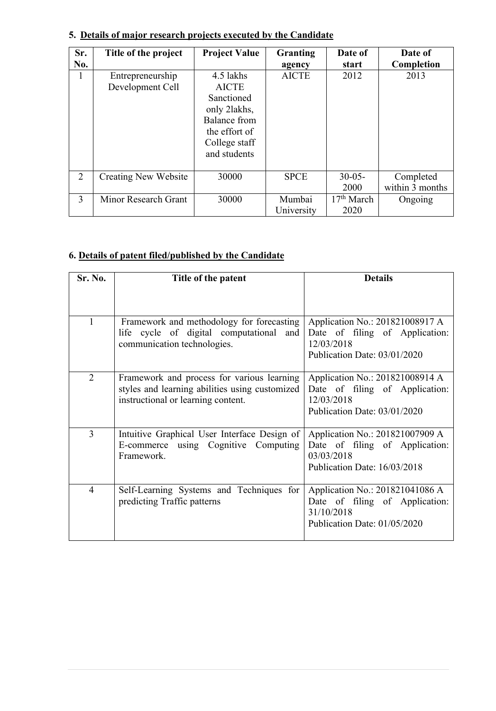| Sr.<br>No. | Title of the project                 | <b>Project Value</b>                                                                                                      | Granting<br>agency   | Date of<br>start               | Date of<br>Completion        |
|------------|--------------------------------------|---------------------------------------------------------------------------------------------------------------------------|----------------------|--------------------------------|------------------------------|
| л.         | Entrepreneurship<br>Development Cell | 4.5 lakhs<br><b>AICTE</b><br>Sanctioned<br>only 2lakhs,<br>Balance from<br>the effort of<br>College staff<br>and students | <b>AICTE</b>         | 2012                           | 2013                         |
| 2          | <b>Creating New Website</b>          | 30000                                                                                                                     | <b>SPCE</b>          | $30-05-$<br>2000               | Completed<br>within 3 months |
| 3          | Minor Research Grant                 | 30000                                                                                                                     | Mumbai<br>University | 17 <sup>th</sup> March<br>2020 | Ongoing                      |

# **5. Details of major research projects executed by the Candidate**

## **6. Details of patent filed/published by the Candidate**

| Sr. No.        | Title of the patent                                                                                                                | <b>Details</b>                                                                                                  |
|----------------|------------------------------------------------------------------------------------------------------------------------------------|-----------------------------------------------------------------------------------------------------------------|
|                |                                                                                                                                    |                                                                                                                 |
|                | Framework and methodology for forecasting<br>life cycle of digital computational and<br>communication technologies.                | Application No.: 201821008917 A<br>Date of filing of Application:<br>12/03/2018<br>Publication Date: 03/01/2020 |
| $\overline{2}$ | Framework and process for various learning<br>styles and learning abilities using customized<br>instructional or learning content. | Application No.: 201821008914 A<br>Date of filing of Application:<br>12/03/2018<br>Publication Date: 03/01/2020 |
| 3              | Intuitive Graphical User Interface Design of<br>E-commerce using Cognitive Computing<br>Framework.                                 | Application No.: 201821007909 A<br>Date of filing of Application:<br>03/03/2018<br>Publication Date: 16/03/2018 |
| $\overline{4}$ | Self-Learning Systems and Techniques for<br>predicting Traffic patterns                                                            | Application No.: 201821041086 A<br>Date of filing of Application:<br>31/10/2018<br>Publication Date: 01/05/2020 |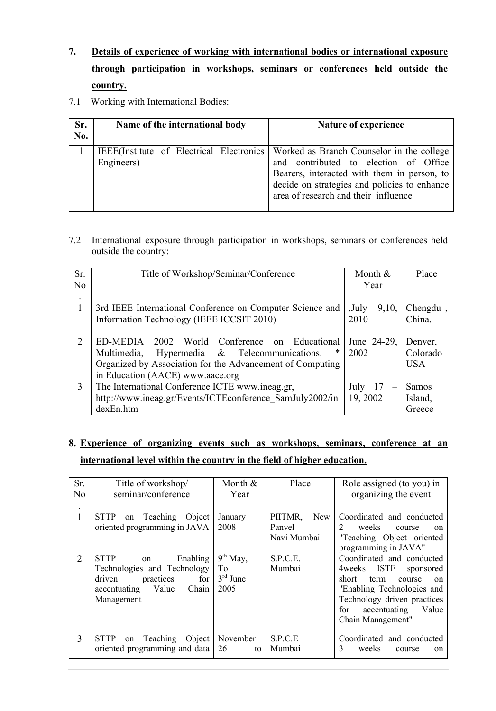- **7. Details of experience of working with international bodies or international exposure through participation in workshops, seminars or conferences held outside the country.**
- 7.1 Working with International Bodies:

| Sr.<br>No. | Name of the international body | Nature of experience                                                                                                                                                                                                                                                 |
|------------|--------------------------------|----------------------------------------------------------------------------------------------------------------------------------------------------------------------------------------------------------------------------------------------------------------------|
|            | Engineers)                     | IEEE(Institute of Electrical Electronics   Worked as Branch Counselor in the college<br>and contributed to election of Office<br>Bearers, interacted with them in person, to<br>decide on strategies and policies to enhance<br>area of research and their influence |

7.2 International exposure through participation in workshops, seminars or conferences held outside the country:

| Sr.           | Title of Workshop/Seminar/Conference                      | Month &        | Place        |  |  |
|---------------|-----------------------------------------------------------|----------------|--------------|--|--|
| No            |                                                           | Year           |              |  |  |
| $\bullet$     |                                                           |                |              |  |  |
|               | 3rd IEEE International Conference on Computer Science and | ,July<br>9,10, | Chengdu,     |  |  |
|               | Information Technology (IEEE ICCSIT 2010)                 | 2010           | China.       |  |  |
|               |                                                           |                |              |  |  |
| $\mathcal{D}$ | ED-MEDIA 2002 World Conference on Educational             | June 24-29,    | Denver,      |  |  |
|               | Multimedia,<br>Hypermedia & Telecommunications.           | 2002           | Colorado     |  |  |
|               | Organized by Association for the Advancement of Computing |                | <b>USA</b>   |  |  |
|               | in Education (AACE) www.aace.org                          |                |              |  |  |
| 3             | The International Conference ICTE www.ineag.gr,           | July 17        | <b>Samos</b> |  |  |
|               | http://www.ineag.gr/Events/ICTEconference SamJuly2002/in  | 19, 2002       | Island,      |  |  |
|               | dexEn.htm                                                 |                | Greece       |  |  |

## **8. Experience of organizing events such as workshops, seminars, conference at an international level within the country in the field of higher education.**

| Sr.<br>No<br>$\bullet$ | Title of workshop/<br>seminar/conference                                                                                                | Month &<br>Year                        | Place                                   | Role assigned (to you) in<br>organizing the event                                                                                                                                                                           |
|------------------------|-----------------------------------------------------------------------------------------------------------------------------------------|----------------------------------------|-----------------------------------------|-----------------------------------------------------------------------------------------------------------------------------------------------------------------------------------------------------------------------------|
| 1                      | on Teaching Object<br><b>STTP</b><br>oriented programming in JAVA                                                                       | January<br>2008                        | PIITMR,<br>New<br>Panvel<br>Navi Mumbai | Coordinated and conducted<br>weeks<br>2<br>course<br>$\alpha$ n<br>"Teaching Object oriented<br>programming in JAVA"                                                                                                        |
| $\overline{2}$         | <b>STTP</b><br>Enabling<br>on<br>Technologies and Technology<br>for<br>practices<br>driven<br>accentuating Value<br>Chain<br>Management | $9th$ May,<br>To<br>$3rd$ June<br>2005 | S.P.C.E.<br>Mumbai                      | Coordinated and conducted<br><b>ISTE</b><br>4weeks<br>sponsored<br>short<br>term<br>course<br>$\alpha$ n<br>"Enabling Technologies and<br>Technology driven practices<br>accentuating<br>Value<br>for.<br>Chain Management" |
| 3                      | Teaching Object<br><b>STTP</b><br>on<br>oriented programming and data                                                                   | November<br>26<br>to                   | S.P.C.E<br>Mumbai                       | Coordinated and conducted<br>3<br>weeks<br>course<br>$\alpha$ n                                                                                                                                                             |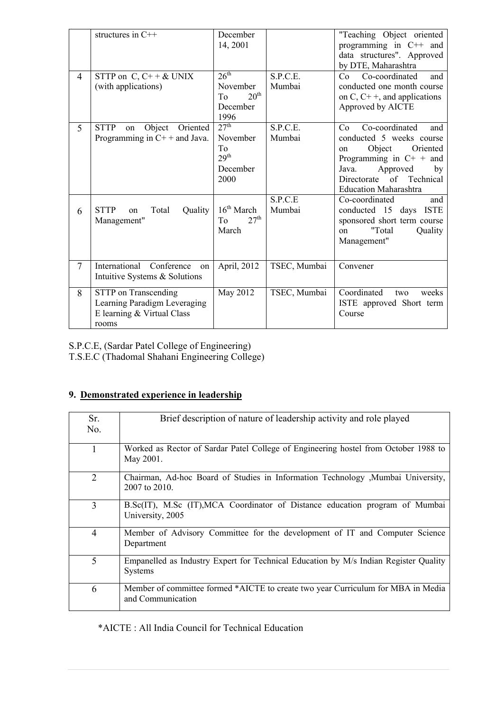| $\overline{4}$ | structures in C++<br>STTP on $C, C++& UNIX$<br>(with applications)                          | December<br>14, 2001<br>26 <sup>th</sup><br>November                       | S.P.C.E.<br>Mumbai | "Teaching Object oriented<br>programming in C++ and<br>data structures". Approved<br>by DTE, Maharashtra<br>Co-coordinated<br>Co<br>and<br>conducted one month course                                       |
|----------------|---------------------------------------------------------------------------------------------|----------------------------------------------------------------------------|--------------------|-------------------------------------------------------------------------------------------------------------------------------------------------------------------------------------------------------------|
|                |                                                                                             | 20 <sup>th</sup><br>To<br>December<br>1996                                 |                    | on C, $C$ + +, and applications<br>Approved by AICTE                                                                                                                                                        |
| 5              | <b>STTP</b><br>Oriented<br>Object<br>on<br>Programming in $C++$ and Java.                   | 27 <sup>th</sup><br>November<br>To<br>29 <sup>th</sup><br>December<br>2000 | S.P.C.E.<br>Mumbai | Co-coordinated<br>Co<br>and<br>conducted 5 weeks course<br>Object<br>Oriented<br>on<br>Programming in $C^+$ + and<br>Approved<br>Java.<br>by<br>of Technical<br>Directorate<br><b>Education Maharashtra</b> |
| 6              | Quality<br><b>STTP</b><br>Total<br>on<br>Management"                                        | 16 <sup>th</sup> March<br>27 <sup>th</sup><br>To<br>March                  | S.P.C.E<br>Mumbai  | Co-coordinated<br>and<br>conducted 15 days ISTE<br>sponsored short term course<br>"Total<br>Quality<br>on<br>Management"                                                                                    |
| $\overline{7}$ | International Conference<br>on<br>Intuitive Systems & Solutions                             | April, 2012                                                                | TSEC, Mumbai       | Convener                                                                                                                                                                                                    |
| 8              | STTP on Transcending<br>Learning Paradigm Leveraging<br>E learning & Virtual Class<br>rooms | May 2012                                                                   | TSEC, Mumbai       | Coordinated<br>weeks<br>two<br>ISTE approved Short term<br>Course                                                                                                                                           |

S.P.C.E, (Sardar Patel College of Engineering)

T.S.E.C (Thadomal Shahani Engineering College)

# **9. Demonstrated experience in leadership**

| Sr.<br>No.     | Brief description of nature of leadership activity and role played                                     |
|----------------|--------------------------------------------------------------------------------------------------------|
|                | Worked as Rector of Sardar Patel College of Engineering hostel from October 1988 to<br>May 2001.       |
| $\overline{2}$ | Chairman, Ad-hoc Board of Studies in Information Technology , Mumbai University,<br>2007 to 2010.      |
| 3              | B.Sc(IT), M.Sc (IT), MCA Coordinator of Distance education program of Mumbai<br>University, 2005       |
| $\overline{4}$ | Member of Advisory Committee for the development of IT and Computer Science<br>Department              |
| 5              | Empanelled as Industry Expert for Technical Education by M/s Indian Register Quality<br><b>Systems</b> |
| 6              | Member of committee formed *AICTE to create two year Curriculum for MBA in Media<br>and Communication  |

\*AICTE : All India Council for Technical Education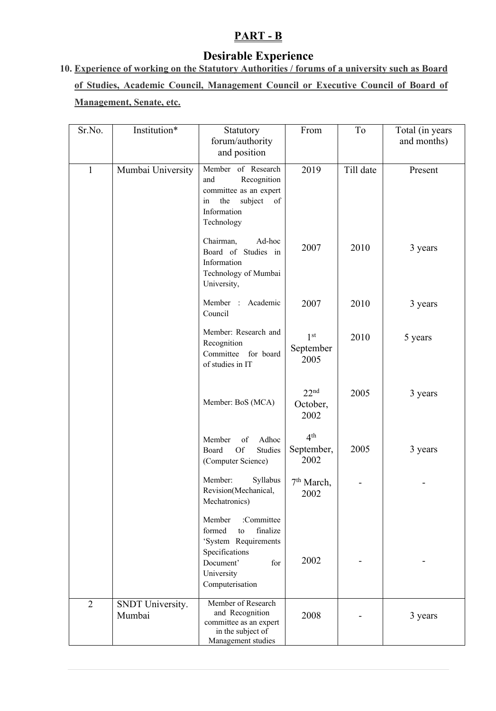# **PART - B**

# **Desirable Experience**

# **10. Experience of working on the Statutory Authorities / forums of a university such as Board of Studies, Academic Council, Management Council or Executive Council of Board of Management, Senate, etc.**

| Sr.No.         | Institution*               | Statutory<br>forum/authority<br>and position                                                                                                    | From                                  | To        | Total (in years<br>and months) |
|----------------|----------------------------|-------------------------------------------------------------------------------------------------------------------------------------------------|---------------------------------------|-----------|--------------------------------|
| $\mathbf{1}$   | Mumbai University          | Member of Research<br>Recognition<br>and<br>committee as an expert<br>subject<br>in<br>the<br>of<br>Information<br>Technology                   | 2019                                  | Till date | Present                        |
|                |                            | Chairman,<br>Ad-hoc<br>Board of Studies in<br>Information<br>Technology of Mumbai<br>University,                                                | 2007                                  | 2010      | 3 years                        |
|                |                            | Member : Academic<br>Council                                                                                                                    | 2007                                  | 2010      | 3 years                        |
|                |                            | Member: Research and<br>Recognition<br>Committee for board<br>of studies in IT                                                                  | 1 <sup>st</sup><br>September<br>2005  | 2010      | 5 years                        |
|                |                            | Member: BoS (MCA)                                                                                                                               | 22 <sup>nd</sup><br>October,<br>2002  | 2005      | 3 years                        |
|                |                            | Adhoc<br>Member<br>of<br>$\mathop{\rm Of}\nolimits$<br>Board<br>Studies<br>(Computer Science)                                                   | 4 <sup>th</sup><br>September,<br>2002 | 2005      | 3 years                        |
|                |                            | Member:<br>Syllabus<br>Revision(Mechanical,<br>Mechatronics)                                                                                    | 7 <sup>th</sup> March,<br>2002        |           |                                |
|                |                            | :Committee<br>Member<br>formed<br>finalize<br>to<br>'System Requirements<br>Specifications<br>Document'<br>for<br>University<br>Computerisation | 2002                                  |           |                                |
| $\overline{2}$ | SNDT University.<br>Mumbai | Member of Research<br>and Recognition<br>committee as an expert<br>in the subject of<br>Management studies                                      | 2008                                  |           | 3 years                        |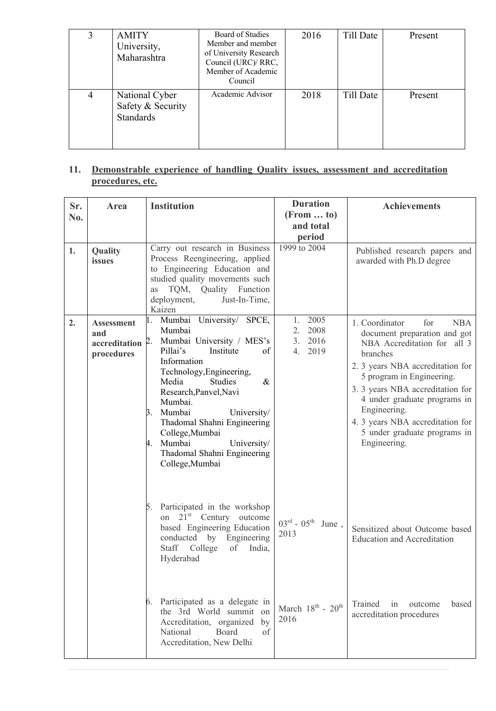|   | <b>AMITY</b><br>University,<br>Maharashtra              | Board of Studies<br>Member and member<br>of University Research<br>Council (URC)/ RRC,<br>Member of Academic<br>Council | 2016 | Till Date | Present |
|---|---------------------------------------------------------|-------------------------------------------------------------------------------------------------------------------------|------|-----------|---------|
| 4 | National Cyber<br>Safety & Security<br><b>Standards</b> | Academic Advisor                                                                                                        | 2018 | Till Date | Present |

### **11. Demonstrable experience of handling Quality issues, assessment and accreditation procedures, etc.**

| Sr.<br>No. | Area                                                    | <b>Institution</b>                                                                                                                                                                                                                                                                                                                                                                        | <b>Duration</b><br>$(From \dots to)$<br>and total<br>period | <b>Achievements</b>                                                                                                                                                                                                                                                                                                                                     |
|------------|---------------------------------------------------------|-------------------------------------------------------------------------------------------------------------------------------------------------------------------------------------------------------------------------------------------------------------------------------------------------------------------------------------------------------------------------------------------|-------------------------------------------------------------|---------------------------------------------------------------------------------------------------------------------------------------------------------------------------------------------------------------------------------------------------------------------------------------------------------------------------------------------------------|
| 1.         | Quality<br>issues                                       | Carry out research in Business<br>Process Reengineering, applied<br>to Engineering Education and<br>studied quality movements such<br>TQM, Quality Function<br>as<br>deployment,<br>Just-In-Time,<br>Kaizen                                                                                                                                                                               | 1999 to 2004                                                | Published research papers and<br>awarded with Ph.D degree                                                                                                                                                                                                                                                                                               |
| 2.         | <b>Assessment</b><br>and<br>accreditation<br>procedures | 1. Mumbai University/ SPCE,<br>Mumbai<br>Mumbai University / MES's<br>2.<br>Pillai's<br>Institute<br>of<br>Information<br>Technology, Engineering,<br>Media<br><b>Studies</b><br>$\&$<br>Research, Panvel, Navi<br>Mumbai.<br>3. Mumbai<br>University/<br>Thadomal Shahni Engineering<br>College, Mumbai<br>Mumbai<br>University/<br>4.<br>Thadomal Shahni Engineering<br>College, Mumbai | 2005<br>1.<br>2.<br>2008<br>3. 2016<br>4.<br>2019           | 1. Coordinator<br>for<br><b>NBA</b><br>document preparation and got<br>NBA Accreditation for all 3<br>branches<br>2. 3 years NBA accreditation for<br>5 program in Engineering.<br>3. 3 years NBA accreditation for<br>4 under graduate programs in<br>Engineering.<br>4. 3 years NBA accreditation for<br>5 under graduate programs in<br>Engineering. |
|            |                                                         | 5. Participated in the workshop<br>on $21st$ Century<br>outcome<br>based Engineering Education<br>conducted by Engineering<br>of India,<br>Staff College<br>Hyderabad                                                                                                                                                                                                                     | $03^{\text{rd}}$ - $05^{\text{th}}$ June,<br>2013           | Sensitized about Outcome based<br><b>Education and Accreditation</b>                                                                                                                                                                                                                                                                                    |
|            |                                                         | 6. Participated as a delegate in<br>the 3rd World summit on<br>Accreditation, organized<br>by<br>National<br>Board<br>of<br>Accreditation, New Delhi                                                                                                                                                                                                                                      | March 18 <sup>th</sup> - $20^{\text{th}}$<br>2016           | Trained<br>outcome<br>based<br>in<br>accreditation procedures                                                                                                                                                                                                                                                                                           |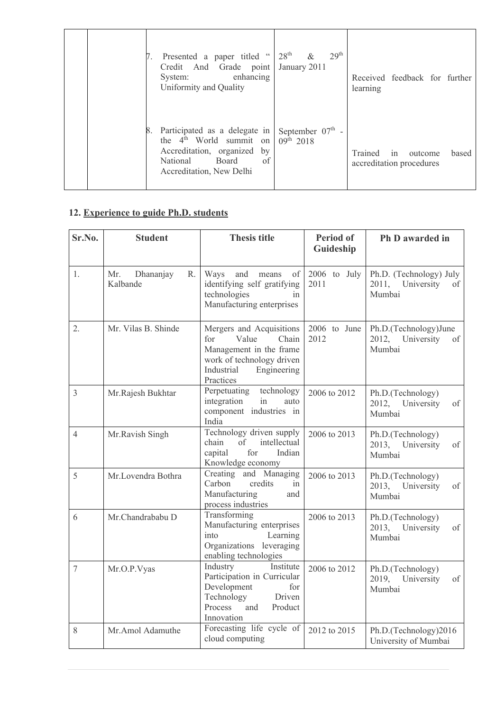|  | 7. Presented a paper titled "<br>Credit And Grade point<br>enhancing<br>System:<br>Uniformity and Quality                                           | 28 <sup>th</sup><br>29 <sup>th</sup><br>$\&$<br>January 2011 | Received feedback for further<br>learning                     |
|--|-----------------------------------------------------------------------------------------------------------------------------------------------------|--------------------------------------------------------------|---------------------------------------------------------------|
|  | 8. Participated as a delegate in<br>the $4th$ World summit on<br>Accreditation, organized by<br>of<br>National<br>Board<br>Accreditation, New Delhi | September $07th$ -<br>$09^{\text{th}}$ 2018                  | Trained<br>in<br>based<br>outcome<br>accreditation procedures |

# **12. Experience to guide Ph.D. students**

| Sr.No.         | <b>Student</b>                     | <b>Thesis title</b>                                                                                                                                 | <b>Period of</b><br>Guideship | Ph D awarded in                                                |
|----------------|------------------------------------|-----------------------------------------------------------------------------------------------------------------------------------------------------|-------------------------------|----------------------------------------------------------------|
| 1.             | Mr.<br>Dhananjay<br>R.<br>Kalbande | Ways<br>and<br>means<br>of<br>identifying self gratifying<br>technologies<br>in<br>Manufacturing enterprises                                        | 2006 to July<br>2011          | Ph.D. (Technology) July<br>2011,<br>University<br>of<br>Mumbai |
| 2.             | Mr. Vilas B. Shinde                | Mergers and Acquisitions<br>Value<br>for<br>Chain<br>Management in the frame<br>work of technology driven<br>Industrial<br>Engineering<br>Practices | 2006 to June<br>2012          | Ph.D.(Technology)June<br>2012,<br>University<br>of<br>Mumbai   |
| $\overline{3}$ | Mr.Rajesh Bukhtar                  | Perpetuating<br>technology<br>integration<br>in<br>auto<br>component industries in<br>India                                                         | 2006 to 2012                  | Ph.D.(Technology)<br>2012, University<br>of<br>Mumbai          |
| $\overline{4}$ | Mr.Ravish Singh                    | Technology driven supply<br>intellectual<br>chain<br>of<br>for<br>capital<br>Indian<br>Knowledge economy                                            | 2006 to 2013                  | Ph.D.(Technology)<br>2013,<br>University<br>of<br>Mumbai       |
| 5              | Mr.Lovendra Bothra                 | Creating and Managing<br>Carbon<br>credits<br>in<br>Manufacturing<br>and<br>process industries                                                      | 2006 to 2013                  | Ph.D.(Technology)<br>2013,<br>University<br>of<br>Mumbai       |
| 6              | Mr.Chandrababu D                   | Transforming<br>Manufacturing enterprises<br>into<br>Learning<br>Organizations leveraging<br>enabling technologies                                  | 2006 to 2013                  | Ph.D.(Technology)<br>2013,<br>University<br>of<br>Mumbai       |
| $\overline{7}$ | Mr.O.P.Vyas                        | Institute<br>Industry<br>Participation in Curricular<br>Development<br>for<br>Technology<br>Driven<br>Process<br>and<br>Product<br>Innovation       | 2006 to 2012                  | Ph.D.(Technology)<br>University<br>2019,<br>of<br>Mumbai       |
| 8              | Mr.Amol Adamuthe                   | Forecasting life cycle of<br>cloud computing                                                                                                        | 2012 to 2015                  | Ph.D.(Technology)2016<br>University of Mumbai                  |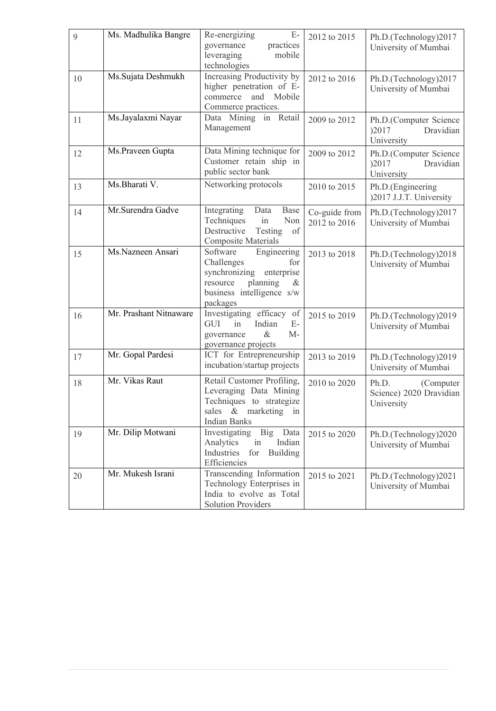| 9  | Ms. Madhulika Bangre   | $E-$<br>Re-energizing<br>governance<br>practices                                                                                                  | 2012 to 2015                  | Ph.D.(Technology)2017                                        |
|----|------------------------|---------------------------------------------------------------------------------------------------------------------------------------------------|-------------------------------|--------------------------------------------------------------|
|    |                        | leveraging<br>mobile<br>technologies                                                                                                              |                               | University of Mumbai                                         |
| 10 | Ms.Sujata Deshmukh     | Increasing Productivity by<br>higher penetration of E-<br>Mobile<br>and<br>commerce<br>Commerce practices.                                        | 2012 to 2016                  | Ph.D.(Technology)2017<br>University of Mumbai                |
| 11 | Ms.Jayalaxmi Nayar     | Data Mining in Retail<br>Management                                                                                                               | 2009 to 2012                  | Ph.D.(Computer Science<br>)2017<br>Dravidian<br>University   |
| 12 | Ms.Praveen Gupta       | Data Mining technique for<br>Customer retain ship in<br>public sector bank                                                                        | 2009 to 2012                  | Ph.D.(Computer Science<br>Dravidian<br>)2017<br>University   |
| 13 | Ms.Bharati V.          | Networking protocols                                                                                                                              | 2010 to 2015                  | Ph.D.(Engineering<br>)2017 J.J.T. University                 |
| 14 | Mr.Surendra Gadve      | Integrating<br>Data<br>Base<br>Techniques<br>Non<br>in<br>Destructive<br>Testing<br>of<br><b>Composite Materials</b>                              | Co-guide from<br>2012 to 2016 | Ph.D.(Technology)2017<br>University of Mumbai                |
| 15 | Ms.Nazneen Ansari      | Engineering<br>Software<br>Challenges<br>for<br>synchronizing<br>enterprise<br>planning<br>resource<br>&<br>business intelligence s/w<br>packages | 2013 to 2018                  | Ph.D.(Technology)2018<br>University of Mumbai                |
| 16 | Mr. Prashant Nitnaware | Investigating efficacy<br>of<br>Indian<br>GUI<br>in<br>$E-$<br>$\&$<br>$M-$<br>governance<br>governance projects                                  | 2015 to 2019                  | Ph.D.(Technology)2019<br>University of Mumbai                |
| 17 | Mr. Gopal Pardesi      | ICT for Entrepreneurship<br>incubation/startup projects                                                                                           | 2013 to 2019                  | Ph.D.(Technology)2019<br>University of Mumbai                |
| 18 | Mr. Vikas Raut         | Retail Customer Profiling,<br>Leveraging Data Mining<br>Techniques to strategize<br>sales & marketing<br>in<br><b>Indian Banks</b>                | 2010 to 2020                  | Ph.D.<br>(Computer)<br>Science) 2020 Dravidian<br>University |
| 19 | Mr. Dilip Motwani      | Investigating<br><b>Big</b><br>Data<br>Indian<br>Analytics<br>in<br>Industries<br>for<br><b>Building</b><br>Efficiencies                          | 2015 to 2020                  | Ph.D.(Technology)2020<br>University of Mumbai                |
| 20 | Mr. Mukesh Israni      | Transcending Information<br>Technology Enterprises in<br>India to evolve as Total<br><b>Solution Providers</b>                                    | 2015 to 2021                  | Ph.D.(Technology)2021<br>University of Mumbai                |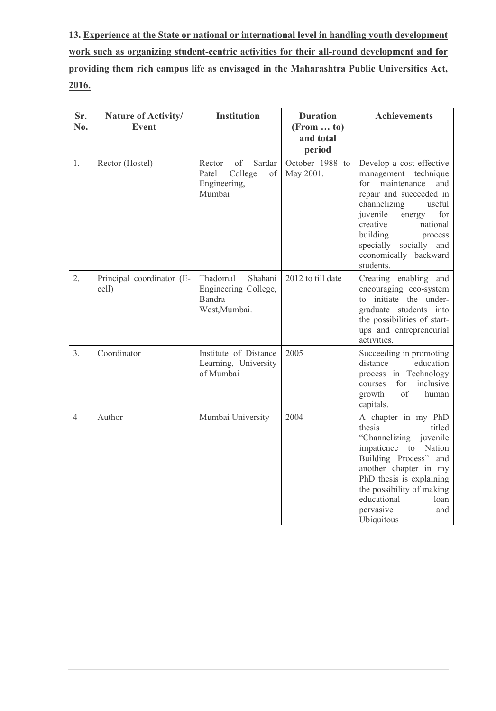**13. Experience at the State or national or international level in handling youth development work such as organizing student-centric activities for their all-round development and for providing them rich campus life as envisaged in the Maharashtra Public Universities Act, 2016.**

| Sr.<br>No.               | Nature of Activity/<br><b>Event</b> | <b>Institution</b>                                                         | <b>Duration</b><br>$(From \dots to)$<br>and total<br>period | <b>Achievements</b>                                                                                                                                                                                                                                                            |
|--------------------------|-------------------------------------|----------------------------------------------------------------------------|-------------------------------------------------------------|--------------------------------------------------------------------------------------------------------------------------------------------------------------------------------------------------------------------------------------------------------------------------------|
| 1.                       | Rector (Hostel)                     | of<br>Rector<br>Sardar<br>Patel<br>College<br>of<br>Engineering,<br>Mumbai | October 1988 to<br>May 2001.                                | Develop a cost effective<br>management technique<br>for<br>maintenance<br>and<br>repair and succeeded in<br>channelizing<br>useful<br>juvenile<br>for<br>energy<br>creative<br>national<br>building<br>process<br>specially socially and<br>economically backward<br>students. |
| 2.                       | Principal coordinator (E-<br>cell)  | Thadomal<br>Shahani<br>Engineering College,<br>Bandra<br>West, Mumbai.     | 2012 to till date                                           | Creating enabling and<br>encouraging eco-system<br>to initiate the under-<br>graduate students into<br>the possibilities of start-<br>ups and entrepreneurial<br>activities.                                                                                                   |
| 3.                       | Coordinator                         | Institute of Distance<br>Learning, University<br>of Mumbai                 | 2005                                                        | Succeeding in promoting<br>distance<br>education<br>process in Technology<br>inclusive<br>for<br>courses<br>of<br>human<br>growth<br>capitals.                                                                                                                                 |
| $\overline{\mathcal{A}}$ | Author                              | Mumbai University                                                          | 2004                                                        | A chapter in my PhD<br>thesis<br>titled<br>"Channelizing juvenile<br>impatience to<br>Nation<br>Building Process"<br>and<br>another chapter in my<br>PhD thesis is explaining<br>the possibility of making<br>educational<br>loan<br>pervasive<br>and<br>Ubiquitous            |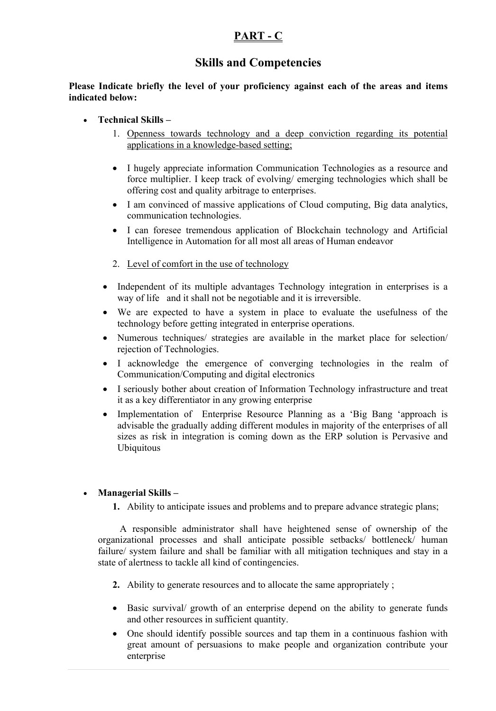## **PART - C**

## **Skills and Competencies**

**Please Indicate briefly the level of your proficiency against each of the areas and items indicated below:**

- **Technical Skills –**
	- 1. Openness towards technology and a deep conviction regarding its potential applications in a knowledge-based setting;
	- I hugely appreciate information Communication Technologies as a resource and force multiplier. I keep track of evolving/ emerging technologies which shall be offering cost and quality arbitrage to enterprises.
	- I am convinced of massive applications of Cloud computing, Big data analytics, communication technologies.
	- I can foresee tremendous application of Blockchain technology and Artificial Intelligence in Automation for all most all areas of Human endeavor
	- 2. Level of comfort in the use of technology
	- Independent of its multiple advantages Technology integration in enterprises is a way of life and it shall not be negotiable and it is irreversible.
	- We are expected to have a system in place to evaluate the usefulness of the technology before getting integrated in enterprise operations.
	- Numerous techniques/ strategies are available in the market place for selection/ rejection of Technologies.
	- I acknowledge the emergence of converging technologies in the realm of Communication/Computing and digital electronics
	- I seriously bother about creation of Information Technology infrastructure and treat it as a key differentiator in any growing enterprise
	- Implementation of Enterprise Resource Planning as a 'Big Bang 'approach is advisable the gradually adding different modules in majority of the enterprises of all sizes as risk in integration is coming down as the ERP solution is Pervasive and Ubiquitous

#### • **Managerial Skills –**

**1.** Ability to anticipate issues and problems and to prepare advance strategic plans;

 A responsible administrator shall have heightened sense of ownership of the organizational processes and shall anticipate possible setbacks/ bottleneck/ human failure/ system failure and shall be familiar with all mitigation techniques and stay in a state of alertness to tackle all kind of contingencies.

- **2.** Ability to generate resources and to allocate the same appropriately ;
- Basic survival/ growth of an enterprise depend on the ability to generate funds and other resources in sufficient quantity.
- One should identify possible sources and tap them in a continuous fashion with great amount of persuasions to make people and organization contribute your enterprise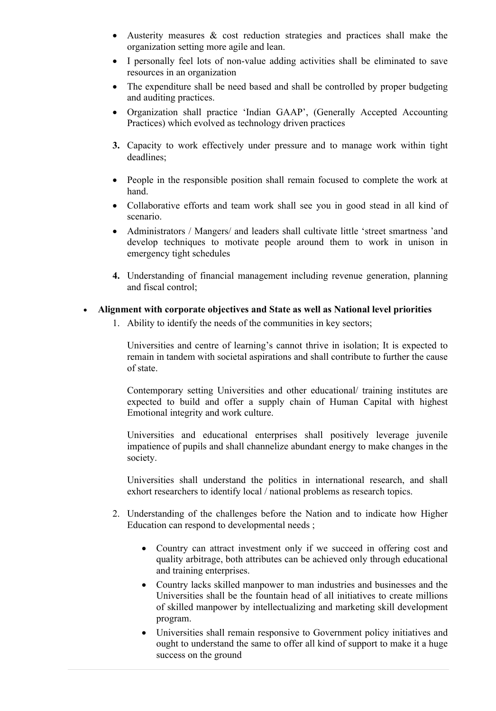- Austerity measures & cost reduction strategies and practices shall make the organization setting more agile and lean.
- I personally feel lots of non-value adding activities shall be eliminated to save resources in an organization
- The expenditure shall be need based and shall be controlled by proper budgeting and auditing practices.
- Organization shall practice 'Indian GAAP', (Generally Accepted Accounting Practices) which evolved as technology driven practices
- **3.** Capacity to work effectively under pressure and to manage work within tight deadlines;
- People in the responsible position shall remain focused to complete the work at hand.
- Collaborative efforts and team work shall see you in good stead in all kind of scenario.
- Administrators / Mangers/ and leaders shall cultivate little 'street smartness 'and develop techniques to motivate people around them to work in unison in emergency tight schedules
- **4.** Understanding of financial management including revenue generation, planning and fiscal control;

#### • **Alignment with corporate objectives and State as well as National level priorities**

1. Ability to identify the needs of the communities in key sectors;

Universities and centre of learning's cannot thrive in isolation; It is expected to remain in tandem with societal aspirations and shall contribute to further the cause of state.

Contemporary setting Universities and other educational/ training institutes are expected to build and offer a supply chain of Human Capital with highest Emotional integrity and work culture.

Universities and educational enterprises shall positively leverage juvenile impatience of pupils and shall channelize abundant energy to make changes in the society.

Universities shall understand the politics in international research, and shall exhort researchers to identify local / national problems as research topics.

- 2. Understanding of the challenges before the Nation and to indicate how Higher Education can respond to developmental needs ;
	- Country can attract investment only if we succeed in offering cost and quality arbitrage, both attributes can be achieved only through educational and training enterprises.
	- Country lacks skilled manpower to man industries and businesses and the Universities shall be the fountain head of all initiatives to create millions of skilled manpower by intellectualizing and marketing skill development program.
	- Universities shall remain responsive to Government policy initiatives and ought to understand the same to offer all kind of support to make it a huge success on the ground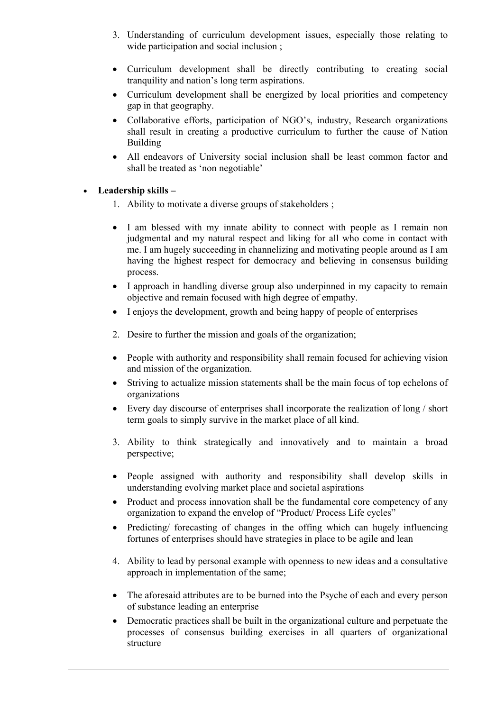- 3. Understanding of curriculum development issues, especially those relating to wide participation and social inclusion ;
- Curriculum development shall be directly contributing to creating social tranquility and nation's long term aspirations.
- Curriculum development shall be energized by local priorities and competency gap in that geography.
- Collaborative efforts, participation of NGO's, industry, Research organizations shall result in creating a productive curriculum to further the cause of Nation Building
- All endeavors of University social inclusion shall be least common factor and shall be treated as 'non negotiable'

#### • **Leadership skills –**

- 1. Ability to motivate a diverse groups of stakeholders ;
- I am blessed with my innate ability to connect with people as I remain non judgmental and my natural respect and liking for all who come in contact with me. I am hugely succeeding in channelizing and motivating people around as I am having the highest respect for democracy and believing in consensus building process.
- I approach in handling diverse group also underpinned in my capacity to remain objective and remain focused with high degree of empathy.
- I enjoys the development, growth and being happy of people of enterprises
- 2. Desire to further the mission and goals of the organization;
- People with authority and responsibility shall remain focused for achieving vision and mission of the organization.
- Striving to actualize mission statements shall be the main focus of top echelons of organizations
- Every day discourse of enterprises shall incorporate the realization of long / short term goals to simply survive in the market place of all kind.
- 3. Ability to think strategically and innovatively and to maintain a broad perspective;
- People assigned with authority and responsibility shall develop skills in understanding evolving market place and societal aspirations
- Product and process innovation shall be the fundamental core competency of any organization to expand the envelop of "Product/ Process Life cycles"
- Predicting/ forecasting of changes in the offing which can hugely influencing fortunes of enterprises should have strategies in place to be agile and lean
- 4. Ability to lead by personal example with openness to new ideas and a consultative approach in implementation of the same;
- The aforesaid attributes are to be burned into the Psyche of each and every person of substance leading an enterprise
- Democratic practices shall be built in the organizational culture and perpetuate the processes of consensus building exercises in all quarters of organizational structure